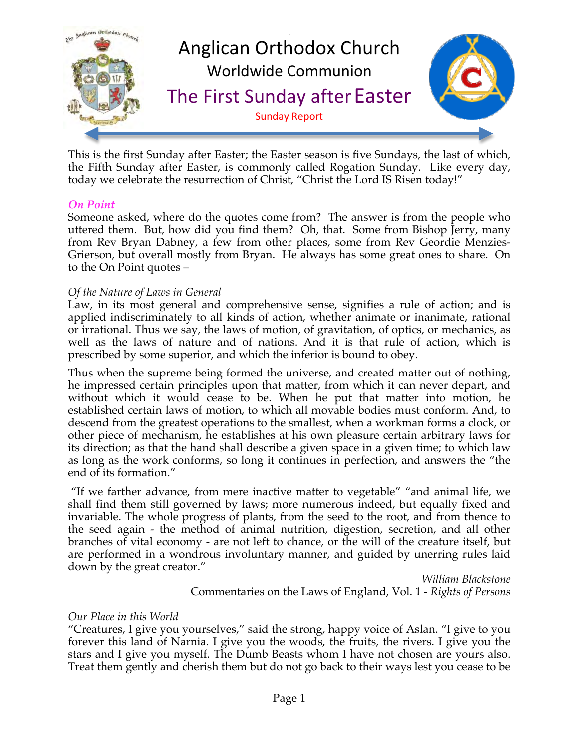

This is the first Sunday after Easter; the Easter season is five Sundays, the last of which, the Fifth Sunday after Easter, is commonly called Rogation Sunday. Like every day, today we celebrate the resurrection of Christ, "Christ the Lord IS Risen today!"

## *On Point*

Someone asked, where do the quotes come from? The answer is from the people who uttered them. But, how did you find them? Oh, that. Some from Bishop Jerry, many from Rev Bryan Dabney, a few from other places, some from Rev Geordie Menzies-Grierson, but overall mostly from Bryan. He always has some great ones to share. On to the On Point quotes –

### *Of the Nature of Laws in General*

Law, in its most general and comprehensive sense, signifies a rule of action; and is applied indiscriminately to all kinds of action, whether animate or inanimate, rational or irrational. Thus we say, the laws of motion, of gravitation, of optics, or mechanics, as well as the laws of nature and of nations. And it is that rule of action, which is prescribed by some superior, and which the inferior is bound to obey.

Thus when the supreme being formed the universe, and created matter out of nothing, he impressed certain principles upon that matter, from which it can never depart, and without which it would cease to be. When he put that matter into motion, he established certain laws of motion, to which all movable bodies must conform. And, to descend from the greatest operations to the smallest, when a workman forms a clock, or other piece of mechanism, he establishes at his own pleasure certain arbitrary laws for its direction; as that the hand shall describe a given space in a given time; to which law as long as the work conforms, so long it continues in perfection, and answers the "the end of its formation."

 "If we farther advance, from mere inactive matter to vegetable" "and animal life, we shall find them still governed by laws; more numerous indeed, but equally fixed and invariable. The whole progress of plants, from the seed to the root, and from thence to the seed again - the method of animal nutrition, digestion, secretion, and all other branches of vital economy - are not left to chance, or the will of the creature itself, but are performed in a wondrous involuntary manner, and guided by unerring rules laid down by the great creator."

> *William Blackstone* Commentaries on the Laws of England, Vol. 1 - *Rights of Persons*

### *Our Place in this World*

"Creatures, I give you yourselves," said the strong, happy voice of Aslan. "I give to you forever this land of Narnia. I give you the woods, the fruits, the rivers. I give you the stars and I give you myself. The Dumb Beasts whom I have not chosen are yours also. Treat them gently and cherish them but do not go back to their ways lest you cease to be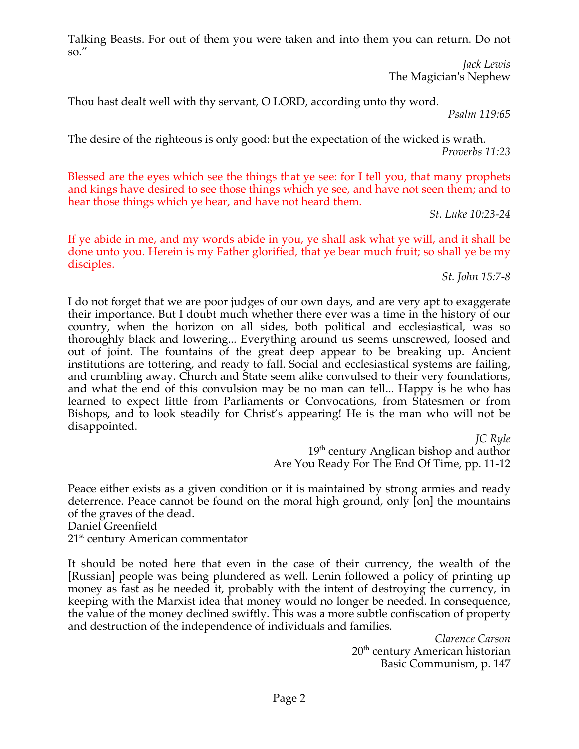Talking Beasts. For out of them you were taken and into them you can return. Do not so."

> *Jack Lewis* The Magician's Nephew

Thou hast dealt well with thy servant, O LORD, according unto thy word.

*Psalm 119:65*

The desire of the righteous is only good: but the expectation of the wicked is wrath. *Proverbs 11:23*

Blessed are the eyes which see the things that ye see: for I tell you, that many prophets and kings have desired to see those things which ye see, and have not seen them; and to hear those things which ye hear, and have not heard them.

*St. Luke 10:23-24*

If ye abide in me, and my words abide in you, ye shall ask what ye will, and it shall be done unto you. Herein is my Father glorified, that ye bear much fruit; so shall ye be my disciples.

*St. John 15:7-8*

I do not forget that we are poor judges of our own days, and are very apt to exaggerate their importance. But I doubt much whether there ever was a time in the history of our country, when the horizon on all sides, both political and ecclesiastical, was so thoroughly black and lowering... Everything around us seems unscrewed, loosed and out of joint. The fountains of the great deep appear to be breaking up. Ancient institutions are tottering, and ready to fall. Social and ecclesiastical systems are failing, and crumbling away. Church and State seem alike convulsed to their very foundations, and what the end of this convulsion may be no man can tell... Happy is he who has learned to expect little from Parliaments or Convocations, from Statesmen or from Bishops, and to look steadily for Christ's appearing! He is the man who will not be disappointed.

*JC Ryle*  $19<sup>th</sup>$  century Anglican bishop and author Are You Ready For The End Of Time, pp. 11-12

Peace either exists as a given condition or it is maintained by strong armies and ready deterrence. Peace cannot be found on the moral high ground, only [on] the mountains of the graves of the dead. Daniel Greenfield

 $21<sup>st</sup>$  century American commentator

It should be noted here that even in the case of their currency, the wealth of the [Russian] people was being plundered as well. Lenin followed a policy of printing up money as fast as he needed it, probably with the intent of destroying the currency, in keeping with the Marxist idea that money would no longer be needed. In consequence, the value of the money declined swiftly. This was a more subtle confiscation of property and destruction of the independence of individuals and families.

*Clarence Carson* 20<sup>th</sup> century American historian Basic Communism, p. 147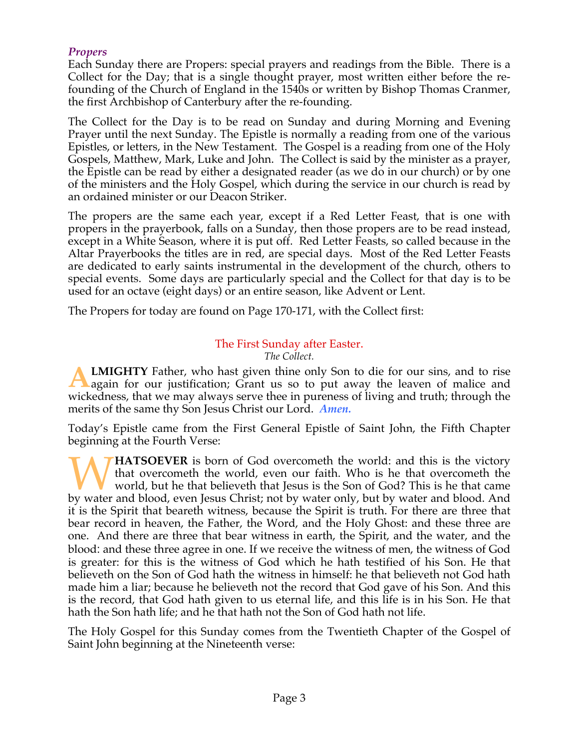# *Propers*

Each Sunday there are Propers: special prayers and readings from the Bible. There is a Collect for the Day; that is a single thought prayer, most written either before the refounding of the Church of England in the 1540s or written by Bishop Thomas Cranmer, the first Archbishop of Canterbury after the re-founding.

The Collect for the Day is to be read on Sunday and during Morning and Evening Prayer until the next Sunday. The Epistle is normally a reading from one of the various Epistles, or letters, in the New Testament. The Gospel is a reading from one of the Holy Gospels, Matthew, Mark, Luke and John. The Collect is said by the minister as a prayer, the Epistle can be read by either a designated reader (as we do in our church) or by one of the ministers and the Holy Gospel, which during the service in our church is read by an ordained minister or our Deacon Striker.

The propers are the same each year, except if a Red Letter Feast, that is one with propers in the prayerbook, falls on a Sunday, then those propers are to be read instead, except in a White Season, where it is put off. Red Letter Feasts, so called because in the Altar Prayerbooks the titles are in red, are special days. Most of the Red Letter Feasts are dedicated to early saints instrumental in the development of the church, others to special events. Some days are particularly special and the Collect for that day is to be used for an octave (eight days) or an entire season, like Advent or Lent.

The Propers for today are found on Page 170-171, with the Collect first:

#### The First Sunday after Easter. *The Collect.*

**LMIGHTY** Father, who hast given thine only Son to die for our sins, and to rise again for our justification; Grant us so to put away the leaven of malice and wickedness, that we may always serve thee in pureness of living and truth; through the merits of the same thy Son Jesus Christ our Lord. *Amen.* **A**

Today's Epistle came from the First General Epistle of Saint John, the Fifth Chapter beginning at the Fourth Verse:

**HATSOEVER** is born of God overcometh the world: and this is the victory that overcometh the world, even our faith. Who is he that overcometh the world, but he that believeth that Jesus is the Son of God? This is he that came **by HATSOEVER** is born of God overcometh the world: and this is the victory that overcometh the world, even our faith. Who is he that overcometh the world, but he that believeth that Jesus is the Son of God? This is he tha it is the Spirit that beareth witness, because the Spirit is truth. For there are three that bear record in heaven, the Father, the Word, and the Holy Ghost: and these three are one. And there are three that bear witness in earth, the Spirit, and the water, and the blood: and these three agree in one. If we receive the witness of men, the witness of God is greater: for this is the witness of God which he hath testified of his Son. He that believeth on the Son of God hath the witness in himself: he that believeth not God hath made him a liar; because he believeth not the record that God gave of his Son. And this is the record, that God hath given to us eternal life, and this life is in his Son. He that hath the Son hath life; and he that hath not the Son of God hath not life.

The Holy Gospel for this Sunday comes from the Twentieth Chapter of the Gospel of Saint John beginning at the Nineteenth verse: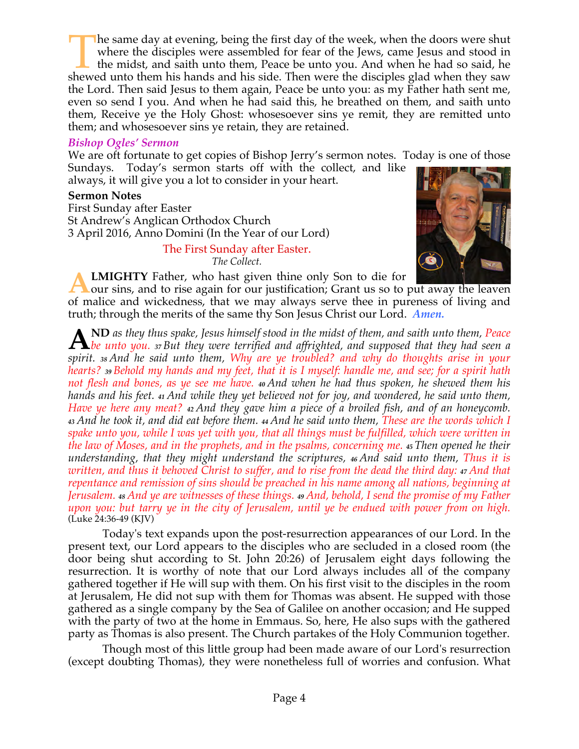he same day at evening, being the first day of the week, when the doors were shut where the disciples were assembled for fear of the Jews, came Jesus and stood in the midst, and saith unto them, Peace be unto you. And when he had so said, he The same day at evening, being the first day of the week, when the doors were shut where the disciples were assembled for fear of the Jews, came Jesus and stood in the midst, and saith unto them, Peace be unto you. And whe the Lord. Then said Jesus to them again, Peace be unto you: as my Father hath sent me, even so send I you. And when he had said this, he breathed on them, and saith unto them, Receive ye the Holy Ghost: whosesoever sins ye remit, they are remitted unto them; and whosesoever sins ye retain, they are retained.

### *Bishop Ogles' Sermon*

We are oft fortunate to get copies of Bishop Jerry's sermon notes. Today is one of those Sundays. Today's sermon starts off with the collect, and like always, it will give you a lot to consider in your heart.

**Sermon Notes**

First Sunday after Easter St Andrew's Anglican Orthodox Church 3 April 2016, Anno Domini (In the Year of our Lord)

> The First Sunday after Easter. *The Collect.*



**LMIGHTY** Father, who hast given thine only Son to die for our sins, and to rise again for our justification; Grant us so to put away the leaven of malice and wickedness, that we may always serve thee in pureness of living and truth; through the merits of the same thy Son Jesus Christ our Lord. *Amen.* **A**

**ND** *as they thus spake, Jesus himself stood in the midst of them, and saith unto them, Peace*  **b** *be unto you.**37**But they were terrified and affrighted, and supposed that they had seen a* $\frac{1}{2}$ *khe unto you.**37**But they were terrified and affrighted, and supposed that they had seen a spirit. <sup>38</sup> And he said unto them, Why are ye troubled? and why do thoughts arise in your hearts? <sup>39</sup> Behold my hands and my feet, that it is I myself: handle me, and see; for a spirit hath not flesh and bones, as ye see me have. <sup>40</sup> And when he had thus spoken, he shewed them his hands and his feet. <sup>41</sup> And while they yet believed not for joy, and wondered, he said unto them, Have ye here any meat? <sup>42</sup> And they gave him a piece of a broiled fish, and of an honeycomb. <sup>43</sup> And he took it, and did eat before them. <sup>44</sup> And he said unto them, These are the words which I spake unto you, while I was yet with you, that all things must be fulfilled, which were written in the law of Moses, and in the prophets, and in the psalms, concerning me. <sup>45</sup> Then opened he their understanding, that they might understand the scriptures, <sup>46</sup> And said unto them, Thus it is written, and thus it behoved Christ to suffer, and to rise from the dead the third day: <sup>47</sup> And that repentance and remission of sins should be preached in his name among all nations, beginning at Jerusalem. <sup>48</sup> And ye are witnesses of these things. <sup>49</sup> And, behold, I send the promise of my Father upon you: but tarry ye in the city of Jerusalem, until ye be endued with power from on high.* (Luke 24:36-49 (KJV)

 Today's text expands upon the post-resurrection appearances of our Lord. In the present text, our Lord appears to the disciples who are secluded in a closed room (the door being shut according to St. John 20:26) of Jerusalem eight days following the resurrection. It is worthy of note that our Lord always includes all of the company gathered together if He will sup with them. On his first visit to the disciples in the room at Jerusalem, He did not sup with them for Thomas was absent. He supped with those gathered as a single company by the Sea of Galilee on another occasion; and He supped with the party of two at the home in Emmaus. So, here, He also sups with the gathered party as Thomas is also present. The Church partakes of the Holy Communion together.

 Though most of this little group had been made aware of our Lord's resurrection (except doubting Thomas), they were nonetheless full of worries and confusion. What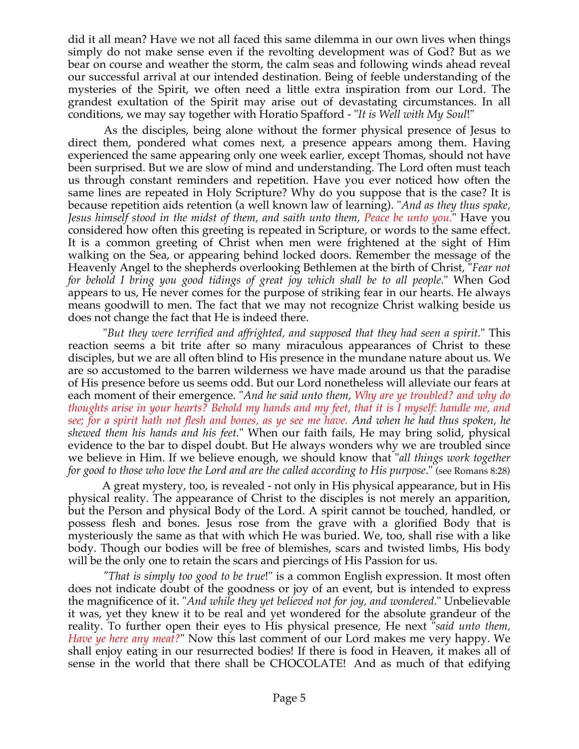did it all mean? Have we not all faced this same dilemma in our own lives when things simply do not make sense even if the revolting development was of God? But as we bear on course and weather the storm, the calm seas and following winds ahead reveal our successful arrival at our intended destination. Being of feeble understanding of the mysteries of the Spirit, we often need a little extra inspiration from our Lord. The grandest exultation of the Spirit may arise out of devastating circumstances. In all conditions, we may say together with Horatio Spafford - "*It is Well with My Soul*!"

 As the disciples, being alone without the former physical presence of Jesus to direct them, pondered what comes next, a presence appears among them. Having experienced the same appearing only one week earlier, except Thomas, should not have been surprised. But we are slow of mind and understanding. The Lord often must teach us through constant reminders and repetition. Have you ever noticed how often the same lines are repeated in Holy Scripture? Why do you suppose that is the case? It is because repetition aids retention (a well known law of learning). "*And as they thus spake, Jesus himself stood in the midst of them, and saith unto them, Peace be unto you.*" Have you considered how often this greeting is repeated in Scripture, or words to the same effect. It is a common greeting of Christ when men were frightened at the sight of Him walking on the Sea, or appearing behind locked doors. Remember the message of the Heavenly Angel to the shepherds overlooking Bethlemen at the birth of Christ, "*Fear not for behold I bring you good tidings of great joy which shall be to all people*." When God appears to us, He never comes for the purpose of striking fear in our hearts. He always means goodwill to men. The fact that we may not recognize Christ walking beside us does not change the fact that He is indeed there.

 "*But they were terrified and affrighted, and supposed that they had seen a spirit.*" This reaction seems a bit trite after so many miraculous appearances of Christ to these disciples, but we are all often blind to His presence in the mundane nature about us. We are so accustomed to the barren wilderness we have made around us that the paradise of His presence before us seems odd. But our Lord nonetheless will alleviate our fears at each moment of their emergence. "*And he said unto them, Why are ye troubled? and why do thoughts arise in your hearts? Behold my hands and my feet, that it is I myself: handle me, and see; for a spirit hath not flesh and bones, as ye see me have. And when he had thus spoken, he shewed them his hands and his feet.*" When our faith fails, He may bring solid, physical evidence to the bar to dispel doubt. But He always wonders why we are troubled since we believe in Him. If we believe enough, we should know that "*all things work together for good to those who love the Lord and are the called according to His purpose*." (see Romans 8:28)

 A great mystery, too, is revealed - not only in His physical appearance, but in His physical reality. The appearance of Christ to the disciples is not merely an apparition, but the Person and physical Body of the Lord. A spirit cannot be touched, handled, or possess flesh and bones. Jesus rose from the grave with a glorified Body that is mysteriously the same as that with which He was buried. We, too, shall rise with a like body. Though our bodies will be free of blemishes, scars and twisted limbs, His body will be the only one to retain the scars and piercings of His Passion for us.

 *"That is simply too good to be true*!" is a common English expression. It most often does not indicate doubt of the goodness or joy of an event, but is intended to express the magnificence of it. "*And while they yet believed not for joy, and wondered*." Unbelievable it was, yet they knew it to be real and yet wondered for the absolute grandeur of the reality. To further open their eyes to His physical presence, He next "*said unto them, Have ye here any meat?*" Now this last comment of our Lord makes me very happy. We shall enjoy eating in our resurrected bodies! If there is food in Heaven, it makes all of sense in the world that there shall be CHOCOLATE! And as much of that edifying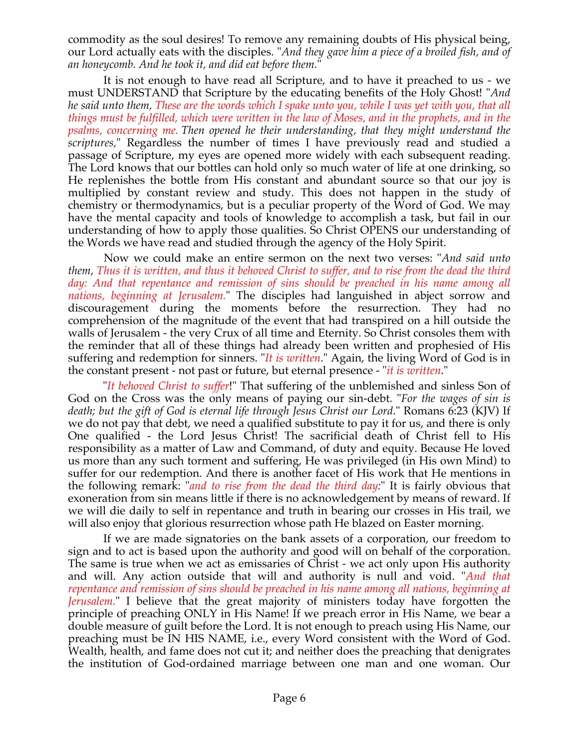commodity as the soul desires! To remove any remaining doubts of His physical being, our Lord actually eats with the disciples. "*And they gave him a piece of a broiled fish, and of an honeycomb. And he took it, and did eat before them.*"

 It is not enough to have read all Scripture, and to have it preached to us - we must UNDERSTAND that Scripture by the educating benefits of the Holy Ghost! "*And he said unto them, These are the words which I spake unto you, while I was yet with you, that all things must be fulfilled, which were written in the law of Moses, and in the prophets, and in the psalms, concerning me. Then opened he their understanding, that they might understand the scriptures,*" Regardless the number of times I have previously read and studied a passage of Scripture, my eyes are opened more widely with each subsequent reading. The Lord knows that our bottles can hold only so much water of life at one drinking, so He replenishes the bottle from His constant and abundant source so that our joy is multiplied by constant review and study. This does not happen in the study of chemistry or thermodynamics, but is a peculiar property of the Word of God. We may have the mental capacity and tools of knowledge to accomplish a task, but fail in our understanding of how to apply those qualities. So Christ OPENS our understanding of the Words we have read and studied through the agency of the Holy Spirit.

 Now we could make an entire sermon on the next two verses: "*And said unto them, Thus it is written, and thus it behoved Christ to suffer, and to rise from the dead the third day: And that repentance and remission of sins should be preached in his name among all nations, beginning at Jerusalem.*" The disciples had languished in abject sorrow and discouragement during the moments before the resurrection. They had no comprehension of the magnitude of the event that had transpired on a hill outside the walls of Jerusalem - the very Crux of all time and Eternity. So Christ consoles them with the reminder that all of these things had already been written and prophesied of His suffering and redemption for sinners. "*It is written*." Again, the living Word of God is in the constant present - not past or future, but eternal presence - "*it is written*."

 "*It behoved Christ to suffer*!" That suffering of the unblemished and sinless Son of God on the Cross was the only means of paying our sin-debt. "*For the wages of sin is death; but the gift of God is eternal life through Jesus Christ our Lord*." Romans 6:23 (KJV) If we do not pay that debt, we need a qualified substitute to pay it for us, and there is only One qualified - the Lord Jesus Christ! The sacrificial death of Christ fell to His responsibility as a matter of Law and Command, of duty and equity. Because He loved us more than any such torment and suffering, He was privileged (in His own Mind) to suffer for our redemption. And there is another facet of His work that He mentions in the following remark: "*and to rise from the dead the third day:*" It is fairly obvious that exoneration from sin means little if there is no acknowledgement by means of reward. If we will die daily to self in repentance and truth in bearing our crosses in His trail, we will also enjoy that glorious resurrection whose path He blazed on Easter morning.

 If we are made signatories on the bank assets of a corporation, our freedom to sign and to act is based upon the authority and good will on behalf of the corporation. The same is true when we act as emissaries of Christ - we act only upon His authority and will. Any action outside that will and authority is null and void. "*And that repentance and remission of sins should be preached in his name among all nations, beginning at Jerusalem.*" I believe that the great majority of ministers today have forgotten the principle of preaching ONLY in His Name! If we preach error in His Name, we bear a double measure of guilt before the Lord. It is not enough to preach using His Name, our preaching must be IN HIS NAME, i.e., every Word consistent with the Word of God. Wealth, health, and fame does not cut it; and neither does the preaching that denigrates the institution of God-ordained marriage between one man and one woman. Our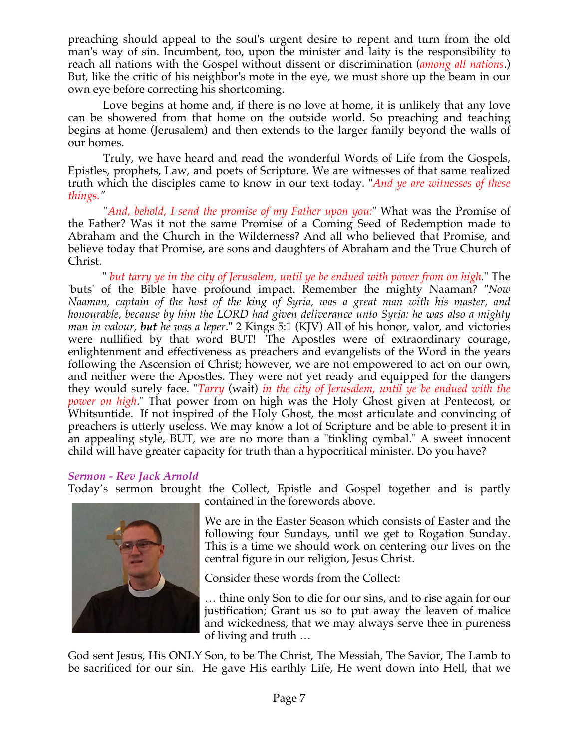preaching should appeal to the soul's urgent desire to repent and turn from the old man's way of sin. Incumbent, too, upon the minister and laity is the responsibility to reach all nations with the Gospel without dissent or discrimination (*among all nations*.) But, like the critic of his neighbor's mote in the eye, we must shore up the beam in our own eye before correcting his shortcoming.

 Love begins at home and, if there is no love at home, it is unlikely that any love can be showered from that home on the outside world. So preaching and teaching begins at home (Jerusalem) and then extends to the larger family beyond the walls of our homes.

 Truly, we have heard and read the wonderful Words of Life from the Gospels, Epistles, prophets, Law, and poets of Scripture. We are witnesses of that same realized truth which the disciples came to know in our text today. "*And ye are witnesses of these things."*

 "*And, behold, I send the promise of my Father upon you:*" What was the Promise of the Father? Was it not the same Promise of a Coming Seed of Redemption made to Abraham and the Church in the Wilderness? And all who believed that Promise, and believe today that Promise, are sons and daughters of Abraham and the True Church of Christ.

 " *but tarry ye in the city of Jerusalem, until ye be endued with power from on high.*" The 'buts' of the Bible have profound impact. Remember the mighty Naaman? "*Now Naaman, captain of the host of the king of Syria, was a great man with his master, and honourable, because by him the LORD had given deliverance unto Syria: he was also a mighty man in valour, but he was a leper.*" 2 Kings 5:1 (KJV) All of his honor, valor, and victories were nullified by that word BUT! The Apostles were of extraordinary courage, enlightenment and effectiveness as preachers and evangelists of the Word in the years following the Ascension of Christ; however, we are not empowered to act on our own, and neither were the Apostles. They were not yet ready and equipped for the dangers they would surely face. "*Tarry* (wait) *in the city of Jerusalem, until ye be endued with the power on high*." That power from on high was the Holy Ghost given at Pentecost, or Whitsuntide. If not inspired of the Holy Ghost, the most articulate and convincing of preachers is utterly useless. We may know a lot of Scripture and be able to present it in an appealing style, BUT, we are no more than a "tinkling cymbal." A sweet innocent child will have greater capacity for truth than a hypocritical minister. Do you have?

## *Sermon - Rev Jack Arnold*

Today's sermon brought the Collect, Epistle and Gospel together and is partly



contained in the forewords above.

We are in the Easter Season which consists of Easter and the following four Sundays, until we get to Rogation Sunday. This is a time we should work on centering our lives on the central figure in our religion, Jesus Christ.

Consider these words from the Collect:

… thine only Son to die for our sins, and to rise again for our justification; Grant us so to put away the leaven of malice and wickedness, that we may always serve thee in pureness of living and truth …

God sent Jesus, His ONLY Son, to be The Christ, The Messiah, The Savior, The Lamb to be sacrificed for our sin. He gave His earthly Life, He went down into Hell, that we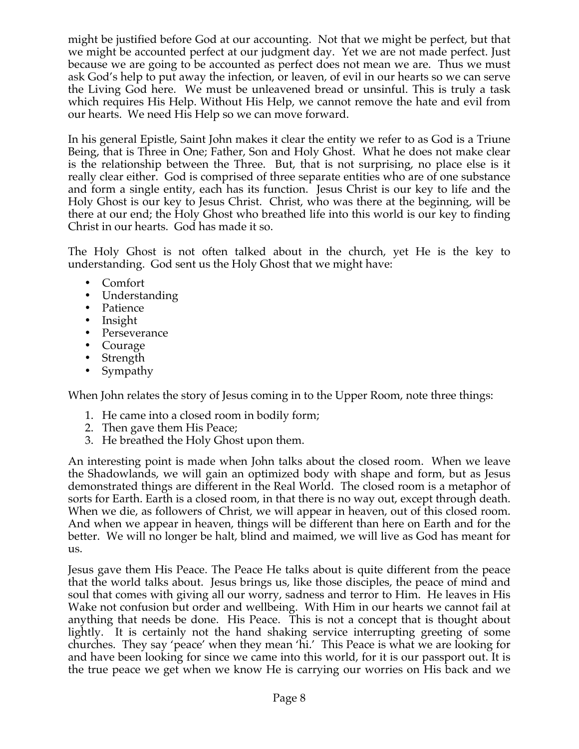might be justified before God at our accounting. Not that we might be perfect, but that we might be accounted perfect at our judgment day. Yet we are not made perfect. Just because we are going to be accounted as perfect does not mean we are. Thus we must ask God's help to put away the infection, or leaven, of evil in our hearts so we can serve the Living God here. We must be unleavened bread or unsinful. This is truly a task which requires His Help. Without His Help, we cannot remove the hate and evil from our hearts. We need His Help so we can move forward.

In his general Epistle, Saint John makes it clear the entity we refer to as God is a Triune Being, that is Three in One; Father, Son and Holy Ghost. What he does not make clear is the relationship between the Three. But, that is not surprising, no place else is it really clear either. God is comprised of three separate entities who are of one substance and form a single entity, each has its function. Jesus Christ is our key to life and the Holy Ghost is our key to Jesus Christ. Christ, who was there at the beginning, will be there at our end; the Holy Ghost who breathed life into this world is our key to finding Christ in our hearts. God has made it so.

The Holy Ghost is not often talked about in the church, yet He is the key to understanding. God sent us the Holy Ghost that we might have:

- Comfort
- Understanding
- Patience
- Insight
- Perseverance
- Courage
- Strength
- Sympathy

When John relates the story of Jesus coming in to the Upper Room, note three things:

- 1. He came into a closed room in bodily form;
- 2. Then gave them His Peace;
- 3. He breathed the Holy Ghost upon them.

An interesting point is made when John talks about the closed room. When we leave the Shadowlands, we will gain an optimized body with shape and form, but as Jesus demonstrated things are different in the Real World. The closed room is a metaphor of sorts for Earth. Earth is a closed room, in that there is no way out, except through death. When we die, as followers of Christ, we will appear in heaven, out of this closed room. And when we appear in heaven, things will be different than here on Earth and for the better. We will no longer be halt, blind and maimed, we will live as God has meant for us.

Jesus gave them His Peace. The Peace He talks about is quite different from the peace that the world talks about. Jesus brings us, like those disciples, the peace of mind and soul that comes with giving all our worry, sadness and terror to Him. He leaves in His Wake not confusion but order and wellbeing. With Him in our hearts we cannot fail at anything that needs be done. His Peace. This is not a concept that is thought about lightly. It is certainly not the hand shaking service interrupting greeting of some churches. They say 'peace' when they mean 'hi.' This Peace is what we are looking for and have been looking for since we came into this world, for it is our passport out. It is the true peace we get when we know He is carrying our worries on His back and we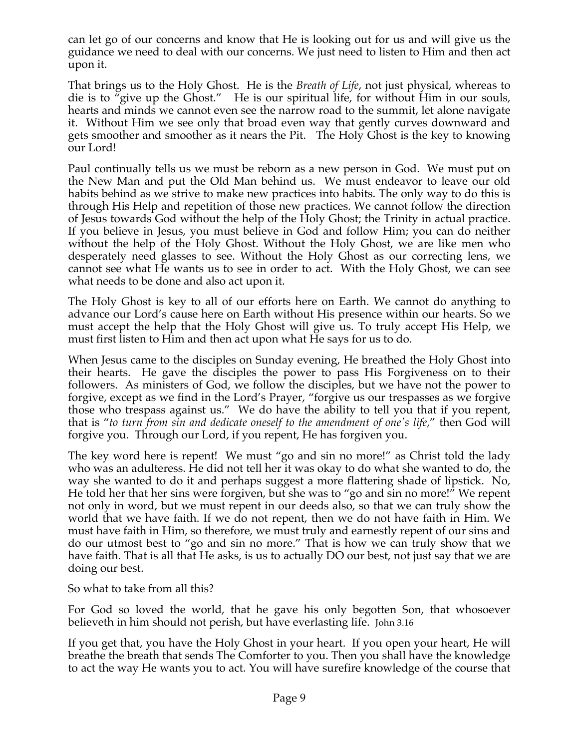can let go of our concerns and know that He is looking out for us and will give us the guidance we need to deal with our concerns. We just need to listen to Him and then act upon it.

That brings us to the Holy Ghost. He is the *Breath of Life*, not just physical, whereas to die is to "give up the Ghost." He is our spiritual life, for without Him in our souls, hearts and minds we cannot even see the narrow road to the summit, let alone navigate it. Without Him we see only that broad even way that gently curves downward and gets smoother and smoother as it nears the Pit. The Holy Ghost is the key to knowing our Lord!

Paul continually tells us we must be reborn as a new person in God. We must put on the New Man and put the Old Man behind us. We must endeavor to leave our old habits behind as we strive to make new practices into habits. The only way to do this is through His Help and repetition of those new practices. We cannot follow the direction of Jesus towards God without the help of the Holy Ghost; the Trinity in actual practice. If you believe in Jesus, you must believe in God and follow Him; you can do neither without the help of the Holy Ghost. Without the Holy Ghost, we are like men who desperately need glasses to see. Without the Holy Ghost as our correcting lens, we cannot see what He wants us to see in order to act. With the Holy Ghost, we can see what needs to be done and also act upon it.

The Holy Ghost is key to all of our efforts here on Earth. We cannot do anything to advance our Lord's cause here on Earth without His presence within our hearts. So we must accept the help that the Holy Ghost will give us. To truly accept His Help, we must first listen to Him and then act upon what He says for us to do.

When Jesus came to the disciples on Sunday evening, He breathed the Holy Ghost into their hearts. He gave the disciples the power to pass His Forgiveness on to their followers. As ministers of God, we follow the disciples, but we have not the power to forgive, except as we find in the Lord's Prayer, "forgive us our trespasses as we forgive those who trespass against us." We do have the ability to tell you that if you repent, that is "*to turn from sin and dedicate oneself to the amendment of one's life*," then God will forgive you. Through our Lord, if you repent, He has forgiven you.

The key word here is repent! We must "go and sin no more!" as Christ told the lady who was an adulteress. He did not tell her it was okay to do what she wanted to do, the way she wanted to do it and perhaps suggest a more flattering shade of lipstick. No, He told her that her sins were forgiven, but she was to "go and sin no more!" We repent not only in word, but we must repent in our deeds also, so that we can truly show the world that we have faith. If we do not repent, then we do not have faith in Him. We must have faith in Him, so therefore, we must truly and earnestly repent of our sins and do our utmost best to "go and sin no more." That is how we can truly show that we have faith. That is all that He asks, is us to actually DO our best, not just say that we are doing our best.

So what to take from all this?

For God so loved the world, that he gave his only begotten Son, that whosoever believeth in him should not perish, but have everlasting life. John 3.16

If you get that, you have the Holy Ghost in your heart. If you open your heart, He will breathe the breath that sends The Comforter to you. Then you shall have the knowledge to act the way He wants you to act. You will have surefire knowledge of the course that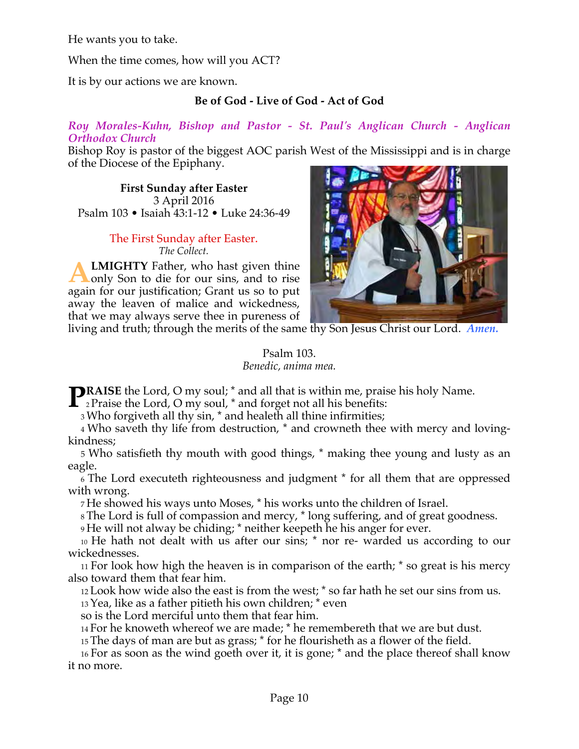He wants you to take.

When the time comes, how will you ACT?

It is by our actions we are known.

# **Be of God - Live of God - Act of God**

*Roy Morales-Kuhn, Bishop and Pastor - St. Paul's Anglican Church - Anglican Orthodox Church*

Bishop Roy is pastor of the biggest AOC parish West of the Mississippi and is in charge of the Diocese of the Epiphany.

**First Sunday after Easter** 3 April 2016 Psalm 103 • Isaiah 43:1-12 • Luke 24:36-49

#### The First Sunday after Easter. *The Collect.*

**LMIGHTY** Father, who hast given thine only Son to die for our sins, and to rise again for our justification; Grant us so to put away the leaven of malice and wickedness, that we may always serve thee in pureness of **A**



living and truth; through the merits of the same thy Son Jesus Christ our Lord. *Amen.*

### Psalm 103. *Benedic, anima mea.*

**RAISE** the Lord, O my soul; \* and all that is within me, praise his holy Name. **PRAISE** the Lord, O my soul; \* and all that is within me, praise  $\sum_{n=1}^{\infty} P_n$  Praise the Lord, O my soul, \* and forget not all his benefits:

3 Who forgiveth all thy sin, \* and healeth all thine infirmities;

4 Who saveth thy life from destruction, \* and crowneth thee with mercy and lovingkindness;

5 Who satisfieth thy mouth with good things, \* making thee young and lusty as an eagle.

6 The Lord executeth righteousness and judgment \* for all them that are oppressed with wrong.

7 He showed his ways unto Moses, \* his works unto the children of Israel.

8 The Lord is full of compassion and mercy, \* long suffering, and of great goodness.

9 He will not alway be chiding; \* neither keepeth he his anger for ever.

10 He hath not dealt with us after our sins; \* nor re- warded us according to our wickednesses.

11 For look how high the heaven is in comparison of the earth; \* so great is his mercy also toward them that fear him.

12 Look how wide also the east is from the west; \* so far hath he set our sins from us.

13 Yea, like as a father pitieth his own children; \* even

so is the Lord merciful unto them that fear him.

14 For he knoweth whereof we are made; \* he remembereth that we are but dust.

15 The days of man are but as grass; \* for he flourisheth as a flower of the field.

16 For as soon as the wind goeth over it, it is gone; \* and the place thereof shall know it no more.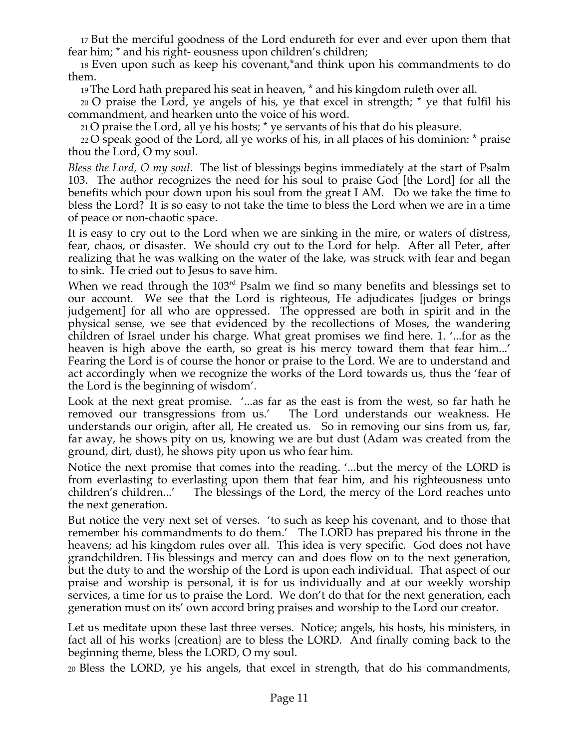17 But the merciful goodness of the Lord endureth for ever and ever upon them that fear him; \* and his right- eousness upon children's children;

18 Even upon such as keep his covenant,\*and think upon his commandments to do them.

19 The Lord hath prepared his seat in heaven, \* and his kingdom ruleth over all.

20 O praise the Lord, ye angels of his, ye that excel in strength; \* ye that fulfil his commandment, and hearken unto the voice of his word.

21 O praise the Lord, all ye his hosts; \* ye servants of his that do his pleasure.

22 O speak good of the Lord, all ye works of his, in all places of his dominion: \* praise thou the Lord, O my soul.

*Bless the Lord, O my soul*. The list of blessings begins immediately at the start of Psalm 103. The author recognizes the need for his soul to praise God [the Lord] for all the benefits which pour down upon his soul from the great I AM. Do we take the time to bless the Lord? It is so easy to not take the time to bless the Lord when we are in a time of peace or non-chaotic space.

It is easy to cry out to the Lord when we are sinking in the mire, or waters of distress, fear, chaos, or disaster. We should cry out to the Lord for help. After all Peter, after realizing that he was walking on the water of the lake, was struck with fear and began to sink. He cried out to Jesus to save him.

When we read through the 103<sup>rd</sup> Psalm we find so many benefits and blessings set to our account. We see that the Lord is righteous, He adjudicates [judges or brings judgement] for all who are oppressed. The oppressed are both in spirit and in the physical sense, we see that evidenced by the recollections of Moses, the wandering children of Israel under his charge. What great promises we find here. 1. '...for as the heaven is high above the earth, so great is his mercy toward them that fear him...' Fearing the Lord is of course the honor or praise to the Lord. We are to understand and act accordingly when we recognize the works of the Lord towards us, thus the 'fear of the Lord is the beginning of wisdom'.

Look at the next great promise. '...as far as the east is from the west, so far hath he removed our transgressions from us.' The Lord understands our weakness. He understands our origin, after all, He created us. So in removing our sins from us, far, far away, he shows pity on us, knowing we are but dust (Adam was created from the ground, dirt, dust), he shows pity upon us who fear him.

Notice the next promise that comes into the reading. '...but the mercy of the LORD is from everlasting to everlasting upon them that fear him, and his righteousness unto children's children...' The blessings of the Lord, the mercy of the Lord reaches unto the next generation.

But notice the very next set of verses. 'to such as keep his covenant, and to those that remember his commandments to do them.' The LORD has prepared his throne in the heavens; ad his kingdom rules over all. This idea is very specific. God does not have grandchildren. His blessings and mercy can and does flow on to the next generation, but the duty to and the worship of the Lord is upon each individual. That aspect of our praise and worship is personal, it is for us individually and at our weekly worship services, a time for us to praise the Lord. We don't do that for the next generation, each generation must on its' own accord bring praises and worship to the Lord our creator.

Let us meditate upon these last three verses. Notice; angels, his hosts, his ministers, in fact all of his works {creation} are to bless the LORD. And finally coming back to the beginning theme, bless the LORD, O my soul.

20 Bless the LORD, ye his angels, that excel in strength, that do his commandments,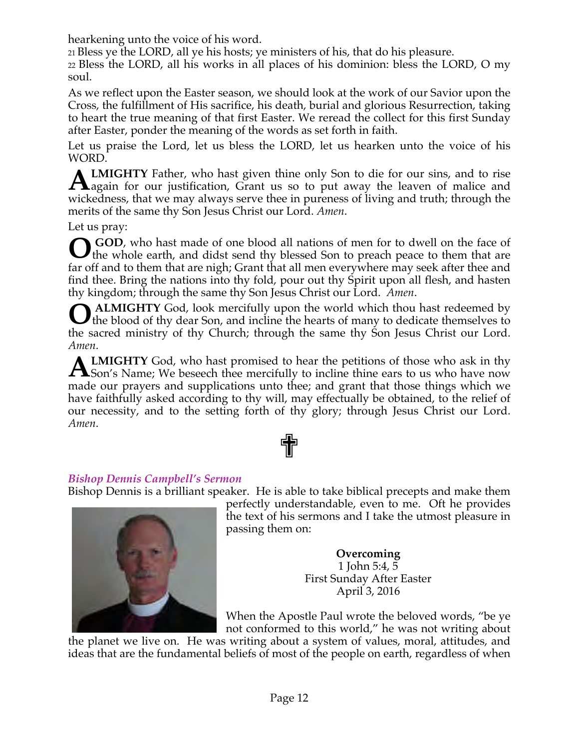hearkening unto the voice of his word.

21 Bless ye the LORD, all ye his hosts; ye ministers of his, that do his pleasure.

22 Bless the LORD, all his works in all places of his dominion: bless the LORD, O my soul.

As we reflect upon the Easter season, we should look at the work of our Savior upon the Cross, the fulfillment of His sacrifice, his death, burial and glorious Resurrection, taking to heart the true meaning of that first Easter. We reread the collect for this first Sunday after Easter, ponder the meaning of the words as set forth in faith.

Let us praise the Lord, let us bless the LORD, let us hearken unto the voice of his WORD.

**LMIGHTY** Father, who hast given thine only Son to die for our sins, and to rise **ALMIGHTY** Father, who hast given thine only Son to die for our sins, and to rise again for our justification, Grant us so to put away the leaven of malice and wickedness, that we may always serve thee in pureness of living and truth; through the merits of the same thy Son Jesus Christ our Lord. *Amen*.

Let us pray:

 **GOD**, who hast made of one blood all nations of men for to dwell on the face of **O** GOD, who hast made of one blood all nations of men for to dwell on the face of them whole earth, and didst send thy blessed Son to preach peace to them that are far off and to them that are nigh; Grant that all men everywhere may seek after thee and find thee. Bring the nations into thy fold, pour out thy Spirit upon all flesh, and hasten thy kingdom; through the same thy Son Jesus Christ our Lord. *Amen*.

 **ALMIGHTY** God, look mercifully upon the world which thou hast redeemed by the blood of thy dear Son, and incline the hearts of many to dedicate themselves to If the blood of thy dear Son, and incline the hearts of many to dedicate themselves to the sacred ministry of thy Church; through the same thy Son Jesus Christ our Lord. *Amen*.

**LMIGHTY** God, who hast promised to hear the petitions of those who ask in thy **ALMIGHTY** God, who hast promised to hear the petitions of those who ask in thy Son's Name; We beseech thee mercifully to incline thine ears to us who have now made our prayers and supplications unto thee; and grant that those things which we have faithfully asked according to thy will, may effectually be obtained, to the relief of our necessity, and to the setting forth of thy glory; through Jesus Christ our Lord. *Amen*.



# *Bishop Dennis Campbell's Sermon*

Bishop Dennis is a brilliant speaker. He is able to take biblical precepts and make them



perfectly understandable, even to me. Oft he provides the text of his sermons and I take the utmost pleasure in passing them on:

> **Overcoming** 1 John 5:4, 5 First Sunday After Easter April 3, 2016

When the Apostle Paul wrote the beloved words, "be ye not conformed to this world," he was not writing about

the planet we live on. He was writing about a system of values, moral, attitudes, and ideas that are the fundamental beliefs of most of the people on earth, regardless of when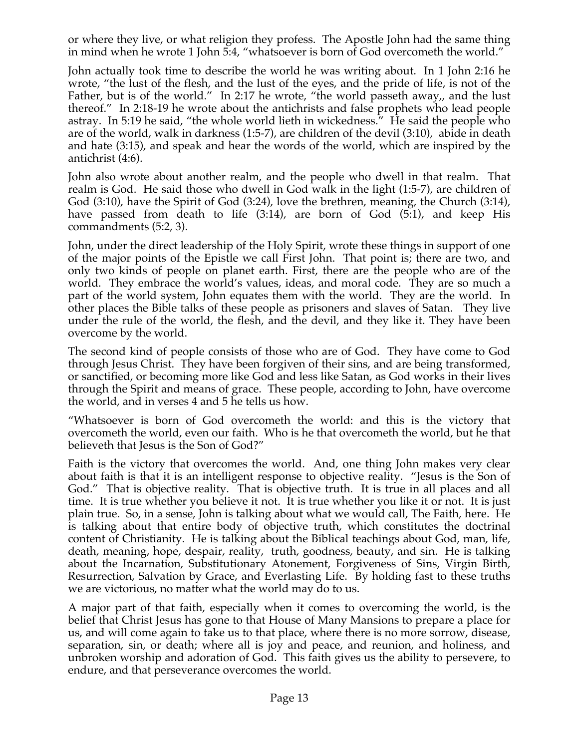or where they live, or what religion they profess. The Apostle John had the same thing in mind when he wrote 1 John 5:4, "whatsoever is born of God overcometh the world."

John actually took time to describe the world he was writing about. In 1 John 2:16 he wrote, "the lust of the flesh, and the lust of the eyes, and the pride of life, is not of the Father, but is of the world." In 2:17 he wrote, "the world passeth away,, and the lust thereof." In 2:18-19 he wrote about the antichrists and false prophets who lead people astray. In 5:19 he said, "the whole world lieth in wickedness." He said the people who are of the world, walk in darkness (1:5-7), are children of the devil (3:10), abide in death and hate (3:15), and speak and hear the words of the world, which are inspired by the antichrist (4:6).

John also wrote about another realm, and the people who dwell in that realm. That realm is God. He said those who dwell in God walk in the light (1:5-7), are children of God (3:10), have the Spirit of God (3:24), love the brethren, meaning, the Church (3:14), have passed from death to life (3:14), are born of God (5:1), and keep His commandments (5:2, 3).

John, under the direct leadership of the Holy Spirit, wrote these things in support of one of the major points of the Epistle we call First John. That point is; there are two, and only two kinds of people on planet earth. First, there are the people who are of the world. They embrace the world's values, ideas, and moral code. They are so much a part of the world system, John equates them with the world. They are the world. In other places the Bible talks of these people as prisoners and slaves of Satan. They live under the rule of the world, the flesh, and the devil, and they like it. They have been overcome by the world.

The second kind of people consists of those who are of God. They have come to God through Jesus Christ. They have been forgiven of their sins, and are being transformed, or sanctified, or becoming more like God and less like Satan, as God works in their lives through the Spirit and means of grace. These people, according to John, have overcome the world, and in verses 4 and 5 he tells us how.

"Whatsoever is born of God overcometh the world: and this is the victory that overcometh the world, even our faith. Who is he that overcometh the world, but he that believeth that Jesus is the Son of God?"

Faith is the victory that overcomes the world. And, one thing John makes very clear about faith is that it is an intelligent response to objective reality. "Jesus is the Son of God." That is objective reality. That is objective truth. It is true in all places and all time. It is true whether you believe it not. It is true whether you like it or not. It is just plain true. So, in a sense, John is talking about what we would call, The Faith, here. He is talking about that entire body of objective truth, which constitutes the doctrinal content of Christianity. He is talking about the Biblical teachings about God, man, life, death, meaning, hope, despair, reality, truth, goodness, beauty, and sin. He is talking about the Incarnation, Substitutionary Atonement, Forgiveness of Sins, Virgin Birth, Resurrection, Salvation by Grace, and Everlasting Life. By holding fast to these truths we are victorious, no matter what the world may do to us.

A major part of that faith, especially when it comes to overcoming the world, is the belief that Christ Jesus has gone to that House of Many Mansions to prepare a place for us, and will come again to take us to that place, where there is no more sorrow, disease, separation, sin, or death; where all is joy and peace, and reunion, and holiness, and unbroken worship and adoration of God. This faith gives us the ability to persevere, to endure, and that perseverance overcomes the world.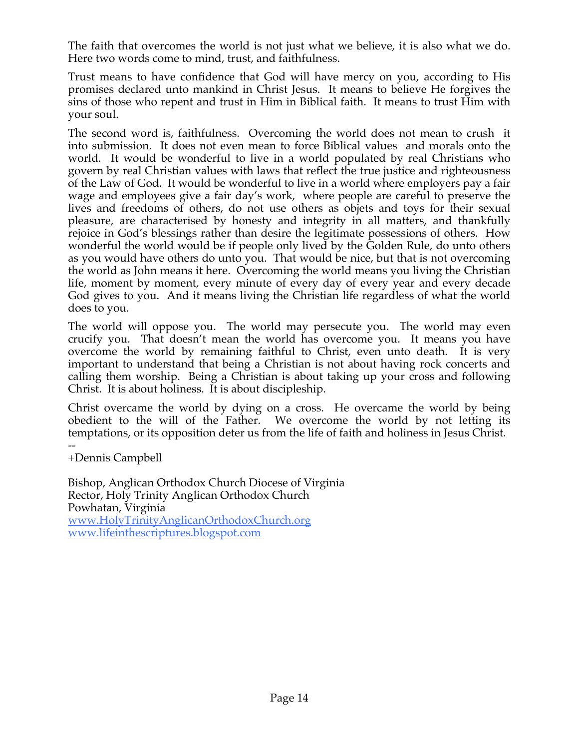The faith that overcomes the world is not just what we believe, it is also what we do. Here two words come to mind, trust, and faithfulness.

Trust means to have confidence that God will have mercy on you, according to His promises declared unto mankind in Christ Jesus. It means to believe He forgives the sins of those who repent and trust in Him in Biblical faith. It means to trust Him with your soul.

The second word is, faithfulness. Overcoming the world does not mean to crush it into submission. It does not even mean to force Biblical values and morals onto the world. It would be wonderful to live in a world populated by real Christians who govern by real Christian values with laws that reflect the true justice and righteousness of the Law of God. It would be wonderful to live in a world where employers pay a fair wage and employees give a fair day's work, where people are careful to preserve the lives and freedoms of others, do not use others as objets and toys for their sexual pleasure, are characterised by honesty and integrity in all matters, and thankfully rejoice in God's blessings rather than desire the legitimate possessions of others. How wonderful the world would be if people only lived by the Golden Rule, do unto others as you would have others do unto you. That would be nice, but that is not overcoming the world as John means it here. Overcoming the world means you living the Christian life, moment by moment, every minute of every day of every year and every decade God gives to you. And it means living the Christian life regardless of what the world does to you.

The world will oppose you. The world may persecute you. The world may even crucify you. That doesn't mean the world has overcome you. It means you have overcome the world by remaining faithful to Christ, even unto death. It is very important to understand that being a Christian is not about having rock concerts and calling them worship. Being a Christian is about taking up your cross and following Christ. It is about holiness. It is about discipleship.

Christ overcame the world by dying on a cross. He overcame the world by being obedient to the will of the Father. We overcome the world by not letting its temptations, or its opposition deter us from the life of faith and holiness in Jesus Christ. --

+Dennis Campbell

Bishop, Anglican Orthodox Church Diocese of Virginia Rector, Holy Trinity Anglican Orthodox Church Powhatan, Virginia www.HolyTrinityAnglicanOrthodoxChurch.org www.lifeinthescriptures.blogspot.com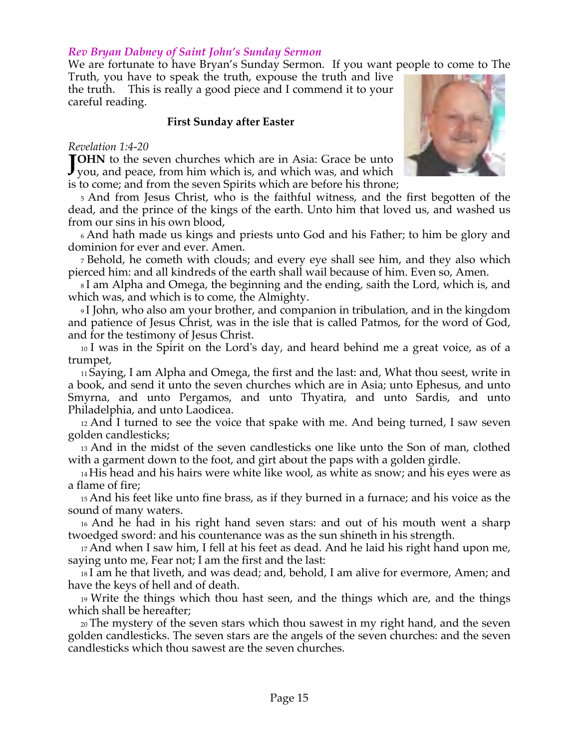### *Rev Bryan Dabney of Saint John's Sunday Sermon*

We are fortunate to have Bryan's Sunday Sermon. If you want people to come to The

Truth, you have to speak the truth, expouse the truth and live the truth. This is really a good piece and I commend it to your careful reading.

### **First Sunday after Easter**

### *Revelation 1:4-20*

**TOHN** to the seven churches which are in Asia: Grace be unto **JOHN** to the seven churches which are in Asia: Grace be unto you, and peace, from him which is, and which was, and which is to come; and from the seven Spirits which are before his throne;

5 And from Jesus Christ, who is the faithful witness, and the first begotten of the dead, and the prince of the kings of the earth. Unto him that loved us, and washed us from our sins in his own blood,

6 And hath made us kings and priests unto God and his Father; to him be glory and dominion for ever and ever. Amen.

7 Behold, he cometh with clouds; and every eye shall see him, and they also which pierced him: and all kindreds of the earth shall wail because of him. Even so, Amen.

8 I am Alpha and Omega, the beginning and the ending, saith the Lord, which is, and which was, and which is to come, the Almighty.

9 I John, who also am your brother, and companion in tribulation, and in the kingdom and patience of Jesus Christ, was in the isle that is called Patmos, for the word of God, and for the testimony of Jesus Christ.

10 I was in the Spirit on the Lord's day, and heard behind me a great voice, as of a trumpet,

11 Saying, I am Alpha and Omega, the first and the last: and, What thou seest, write in a book, and send it unto the seven churches which are in Asia; unto Ephesus, and unto Smyrna, and unto Pergamos, and unto Thyatira, and unto Sardis, and unto Philadelphia, and unto Laodicea.

12 And I turned to see the voice that spake with me. And being turned, I saw seven golden candlesticks;

13 And in the midst of the seven candlesticks one like unto the Son of man, clothed with a garment down to the foot, and girt about the paps with a golden girdle.

14 His head and his hairs were white like wool, as white as snow; and his eyes were as a flame of fire;

15 And his feet like unto fine brass, as if they burned in a furnace; and his voice as the sound of many waters.

16 And he had in his right hand seven stars: and out of his mouth went a sharp twoedged sword: and his countenance was as the sun shineth in his strength.

17 And when I saw him, I fell at his feet as dead. And he laid his right hand upon me, saying unto me, Fear not; I am the first and the last:

18 I am he that liveth, and was dead; and, behold, I am alive for evermore, Amen; and have the keys of hell and of death.

19 Write the things which thou hast seen, and the things which are, and the things which shall be hereafter;

20 The mystery of the seven stars which thou sawest in my right hand, and the seven golden candlesticks. The seven stars are the angels of the seven churches: and the seven candlesticks which thou sawest are the seven churches.

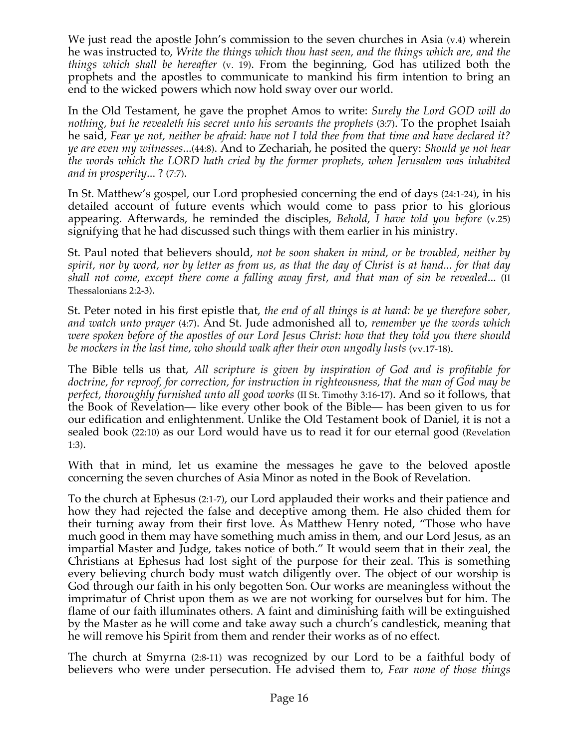We just read the apostle John's commission to the seven churches in Asia (v.4) wherein he was instructed to, *Write the things which thou hast seen, and the things which are, and the things which shall be hereafter* (v. 19). From the beginning, God has utilized both the prophets and the apostles to communicate to mankind his firm intention to bring an end to the wicked powers which now hold sway over our world.

In the Old Testament, he gave the prophet Amos to write: *Surely the Lord GOD will do nothing, but he revealeth his secret unto his servants the prophets* (3:7). To the prophet Isaiah he said, *Fear ye not, neither be afraid: have not I told thee from that time and have declared it? ye are even my witnesses*...(44:8). And to Zechariah, he posited the query: *Should ye not hear the words which the LORD hath cried by the former prophets, when Jerusalem was inhabited and in prosperity*... ? (7:7).

In St. Matthew's gospel, our Lord prophesied concerning the end of days (24:1-24), in his detailed account of future events which would come to pass prior to his glorious appearing. Afterwards, he reminded the disciples, *Behold, I have told you before* (v.25) signifying that he had discussed such things with them earlier in his ministry.

St. Paul noted that believers should, *not be soon shaken in mind, or be troubled, neither by spirit, nor by word, nor by letter as from us, as that the day of Christ is at hand... for that day shall not come, except there come a falling away first, and that man of sin be revealed*... (II Thessalonians 2:2-3).

St. Peter noted in his first epistle that, *the end of all things is at hand: be ye therefore sober, and watch unto prayer* (4:7). And St. Jude admonished all to, *remember ye the words which were spoken before of the apostles of our Lord Jesus Christ: how that they told you there should be mockers in the last time, who should walk after their own ungodly lusts* (vv.17-18).

The Bible tells us that, *All scripture is given by inspiration of God and is profitable for doctrine, for reproof, for correction, for instruction in righteousness, that the man of God may be perfect, thoroughly furnished unto all good works* (II St. Timothy 3:16-17). And so it follows, that the Book of Revelation— like every other book of the Bible— has been given to us for our edification and enlightenment. Unlike the Old Testament book of Daniel, it is not a sealed book (22:10) as our Lord would have us to read it for our eternal good (Revelation 1:3).

With that in mind, let us examine the messages he gave to the beloved apostle concerning the seven churches of Asia Minor as noted in the Book of Revelation.

To the church at Ephesus (2:1-7), our Lord applauded their works and their patience and how they had rejected the false and deceptive among them. He also chided them for their turning away from their first love. As Matthew Henry noted, "Those who have much good in them may have something much amiss in them, and our Lord Jesus, as an impartial Master and Judge, takes notice of both." It would seem that in their zeal, the Christians at Ephesus had lost sight of the purpose for their zeal. This is something every believing church body must watch diligently over. The object of our worship is God through our faith in his only begotten Son. Our works are meaningless without the imprimatur of Christ upon them as we are not working for ourselves but for him. The flame of our faith illuminates others. A faint and diminishing faith will be extinguished by the Master as he will come and take away such a church's candlestick, meaning that he will remove his Spirit from them and render their works as of no effect.

The church at Smyrna (2:8-11) was recognized by our Lord to be a faithful body of believers who were under persecution. He advised them to, *Fear none of those things*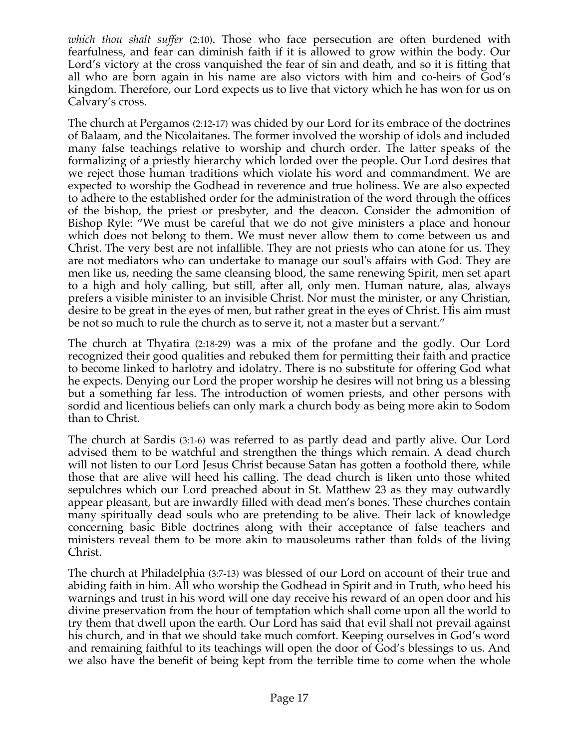*which thou shalt suffer* (2:10). Those who face persecution are often burdened with fearfulness, and fear can diminish faith if it is allowed to grow within the body. Our Lord's victory at the cross vanquished the fear of sin and death, and so it is fitting that all who are born again in his name are also victors with him and co-heirs of God's kingdom. Therefore, our Lord expects us to live that victory which he has won for us on Calvary's cross.

The church at Pergamos (2:12-17) was chided by our Lord for its embrace of the doctrines of Balaam, and the Nicolaitanes. The former involved the worship of idols and included many false teachings relative to worship and church order. The latter speaks of the formalizing of a priestly hierarchy which lorded over the people. Our Lord desires that we reject those human traditions which violate his word and commandment. We are expected to worship the Godhead in reverence and true holiness. We are also expected to adhere to the established order for the administration of the word through the offices of the bishop, the priest or presbyter, and the deacon. Consider the admonition of Bishop Ryle: "We must be careful that we do not give ministers a place and honour which does not belong to them. We must never allow them to come between us and Christ. The very best are not infallible. They are not priests who can atone for us. They are not mediators who can undertake to manage our soul's affairs with God. They are men like us, needing the same cleansing blood, the same renewing Spirit, men set apart to a high and holy calling, but still, after all, only men. Human nature, alas, always prefers a visible minister to an invisible Christ. Nor must the minister, or any Christian, desire to be great in the eyes of men, but rather great in the eyes of Christ. His aim must be not so much to rule the church as to serve it, not a master but a servant."

The church at Thyatira (2:18-29) was a mix of the profane and the godly. Our Lord recognized their good qualities and rebuked them for permitting their faith and practice to become linked to harlotry and idolatry. There is no substitute for offering God what he expects. Denying our Lord the proper worship he desires will not bring us a blessing but a something far less. The introduction of women priests, and other persons with sordid and licentious beliefs can only mark a church body as being more akin to Sodom than to Christ.

The church at Sardis (3:1-6) was referred to as partly dead and partly alive. Our Lord advised them to be watchful and strengthen the things which remain. A dead church will not listen to our Lord Jesus Christ because Satan has gotten a foothold there, while those that are alive will heed his calling. The dead church is liken unto those whited sepulchres which our Lord preached about in St. Matthew 23 as they may outwardly appear pleasant, but are inwardly filled with dead men's bones. These churches contain many spiritually dead souls who are pretending to be alive. Their lack of knowledge concerning basic Bible doctrines along with their acceptance of false teachers and ministers reveal them to be more akin to mausoleums rather than folds of the living Christ.

The church at Philadelphia (3:7-13) was blessed of our Lord on account of their true and abiding faith in him. All who worship the Godhead in Spirit and in Truth, who heed his warnings and trust in his word will one day receive his reward of an open door and his divine preservation from the hour of temptation which shall come upon all the world to try them that dwell upon the earth. Our Lord has said that evil shall not prevail against his church, and in that we should take much comfort. Keeping ourselves in God's word and remaining faithful to its teachings will open the door of God's blessings to us. And we also have the benefit of being kept from the terrible time to come when the whole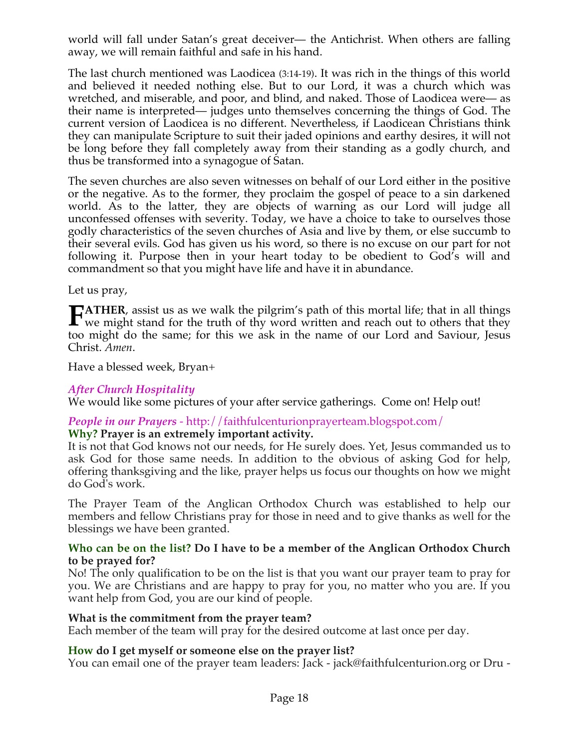world will fall under Satan's great deceiver— the Antichrist. When others are falling away, we will remain faithful and safe in his hand.

The last church mentioned was Laodicea (3:14-19). It was rich in the things of this world and believed it needed nothing else. But to our Lord, it was a church which was wretched, and miserable, and poor, and blind, and naked. Those of Laodicea were— as their name is interpreted— judges unto themselves concerning the things of God. The current version of Laodicea is no different. Nevertheless, if Laodicean Christians think they can manipulate Scripture to suit their jaded opinions and earthy desires, it will not be long before they fall completely away from their standing as a godly church, and thus be transformed into a synagogue of Satan.

The seven churches are also seven witnesses on behalf of our Lord either in the positive or the negative. As to the former, they proclaim the gospel of peace to a sin darkened world. As to the latter, they are objects of warning as our Lord will judge all unconfessed offenses with severity. Today, we have a choice to take to ourselves those godly characteristics of the seven churches of Asia and live by them, or else succumb to their several evils. God has given us his word, so there is no excuse on our part for not following it. Purpose then in your heart today to be obedient to God's will and commandment so that you might have life and have it in abundance.

Let us pray,

**ATHER**, assist us as we walk the pilgrim's path of this mortal life; that in all things **FATHER**, assist us as we walk the pilgrim's path of this mortal life; that in all things we might stand for the truth of thy word written and reach out to others that they too might do the same; for this we ask in the name of our Lord and Saviour, Jesus Christ. *Amen*.

Have a blessed week, Bryan+

## *After Church Hospitality*

We would like some pictures of your after service gatherings. Come on! Help out!

### *People in our Prayers* - http://faithfulcenturionprayerteam.blogspot.com/ **Why? Prayer is an extremely important activity.**

It is not that God knows not our needs, for He surely does. Yet, Jesus commanded us to ask God for those same needs. In addition to the obvious of asking God for help, offering thanksgiving and the like, prayer helps us focus our thoughts on how we might do God's work.

The Prayer Team of the Anglican Orthodox Church was established to help our members and fellow Christians pray for those in need and to give thanks as well for the blessings we have been granted.

### **Who can be on the list? Do I have to be a member of the Anglican Orthodox Church to be prayed for?**

No! The only qualification to be on the list is that you want our prayer team to pray for you. We are Christians and are happy to pray for you, no matter who you are. If you want help from God, you are our kind of people.

## **What is the commitment from the prayer team?**

Each member of the team will pray for the desired outcome at last once per day.

# **How do I get myself or someone else on the prayer list?**

You can email one of the prayer team leaders: Jack - jack@faithfulcenturion.org or Dru -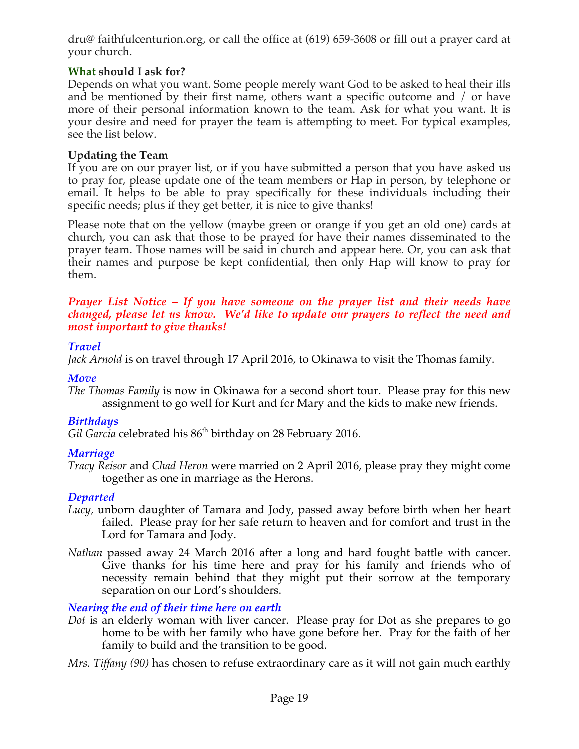dru@ faithfulcenturion.org, or call the office at (619) 659-3608 or fill out a prayer card at your church.

# **What should I ask for?**

Depends on what you want. Some people merely want God to be asked to heal their ills and be mentioned by their first name, others want a specific outcome and / or have more of their personal information known to the team. Ask for what you want. It is your desire and need for prayer the team is attempting to meet. For typical examples, see the list below.

# **Updating the Team**

If you are on our prayer list, or if you have submitted a person that you have asked us to pray for, please update one of the team members or Hap in person, by telephone or email. It helps to be able to pray specifically for these individuals including their specific needs; plus if they get better, it is nice to give thanks!

Please note that on the yellow (maybe green or orange if you get an old one) cards at church, you can ask that those to be prayed for have their names disseminated to the prayer team. Those names will be said in church and appear here. Or, you can ask that their names and purpose be kept confidential, then only Hap will know to pray for them.

### *Prayer List Notice – If you have someone on the prayer list and their needs have changed, please let us know. We'd like to update our prayers to reflect the need and most important to give thanks!*

## *Travel*

*Jack Arnold* is on travel through 17 April 2016, to Okinawa to visit the Thomas family.

# *Move*

*The Thomas Family* is now in Okinawa for a second short tour. Please pray for this new assignment to go well for Kurt and for Mary and the kids to make new friends.

# *Birthdays*

Gil Garcia celebrated his 86<sup>th</sup> birthday on 28 February 2016.

# *Marriage*

*Tracy Reisor* and *Chad Heron* were married on 2 April 2016, please pray they might come together as one in marriage as the Herons.

# *Departed*

- *Lucy,* unborn daughter of Tamara and Jody, passed away before birth when her heart failed. Please pray for her safe return to heaven and for comfort and trust in the Lord for Tamara and Jody.
- *Nathan* passed away 24 March 2016 after a long and hard fought battle with cancer. Give thanks for his time here and pray for his family and friends who of necessity remain behind that they might put their sorrow at the temporary separation on our Lord's shoulders.

# *Nearing the end of their time here on earth*

*Dot* is an elderly woman with liver cancer. Please pray for Dot as she prepares to go home to be with her family who have gone before her. Pray for the faith of her family to build and the transition to be good.

*Mrs. Tiffany (90)* has chosen to refuse extraordinary care as it will not gain much earthly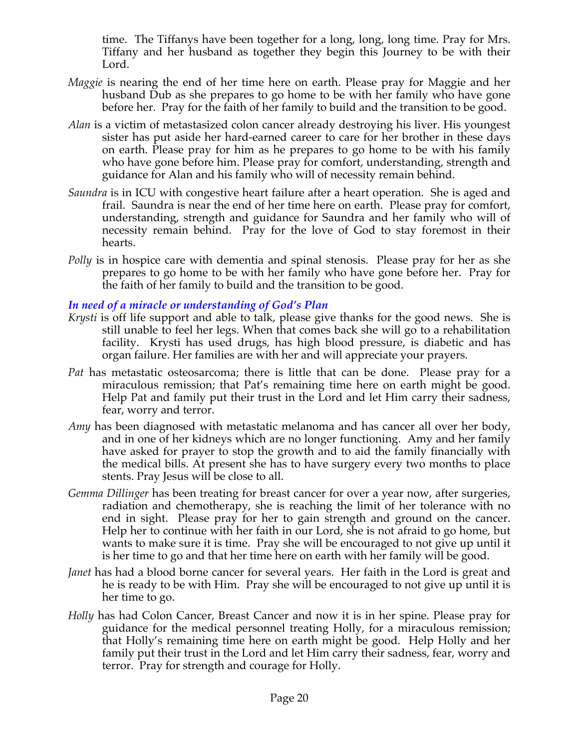time. The Tiffanys have been together for a long, long, long time. Pray for Mrs. Tiffany and her husband as together they begin this Journey to be with their Lord.

- *Maggie* is nearing the end of her time here on earth. Please pray for Maggie and her husband Dub as she prepares to go home to be with her family who have gone before her. Pray for the faith of her family to build and the transition to be good.
- *Alan* is a victim of metastasized colon cancer already destroying his liver. His youngest sister has put aside her hard-earned career to care for her brother in these days on earth. Please pray for him as he prepares to go home to be with his family who have gone before him. Please pray for comfort, understanding, strength and guidance for Alan and his family who will of necessity remain behind.
- *Saundra* is in ICU with congestive heart failure after a heart operation. She is aged and frail. Saundra is near the end of her time here on earth. Please pray for comfort, understanding, strength and guidance for Saundra and her family who will of necessity remain behind. Pray for the love of God to stay foremost in their hearts.
- *Polly* is in hospice care with dementia and spinal stenosis. Please pray for her as she prepares to go home to be with her family who have gone before her. Pray for the faith of her family to build and the transition to be good.

## *In need of a miracle or understanding of God's Plan*

- *Krysti* is off life support and able to talk, please give thanks for the good news. She is still unable to feel her legs. When that comes back she will go to a rehabilitation facility. Krysti has used drugs, has high blood pressure, is diabetic and has organ failure. Her families are with her and will appreciate your prayers.
- *Pat* has metastatic osteosarcoma; there is little that can be done. Please pray for a miraculous remission; that Pat's remaining time here on earth might be good. Help Pat and family put their trust in the Lord and let Him carry their sadness, fear, worry and terror.
- *Amy* has been diagnosed with metastatic melanoma and has cancer all over her body, and in one of her kidneys which are no longer functioning. Amy and her family have asked for prayer to stop the growth and to aid the family financially with the medical bills. At present she has to have surgery every two months to place stents. Pray Jesus will be close to all.
- *Gemma Dillinger* has been treating for breast cancer for over a year now, after surgeries, radiation and chemotherapy, she is reaching the limit of her tolerance with no end in sight. Please pray for her to gain strength and ground on the cancer. Help her to continue with her faith in our Lord, she is not afraid to go home, but wants to make sure it is time. Pray she will be encouraged to not give up until it is her time to go and that her time here on earth with her family will be good.
- *Janet* has had a blood borne cancer for several years. Her faith in the Lord is great and he is ready to be with Him. Pray she will be encouraged to not give up until it is her time to go.
- *Holly* has had Colon Cancer, Breast Cancer and now it is in her spine. Please pray for guidance for the medical personnel treating Holly, for a miraculous remission; that Holly's remaining time here on earth might be good. Help Holly and her family put their trust in the Lord and let Him carry their sadness, fear, worry and terror. Pray for strength and courage for Holly.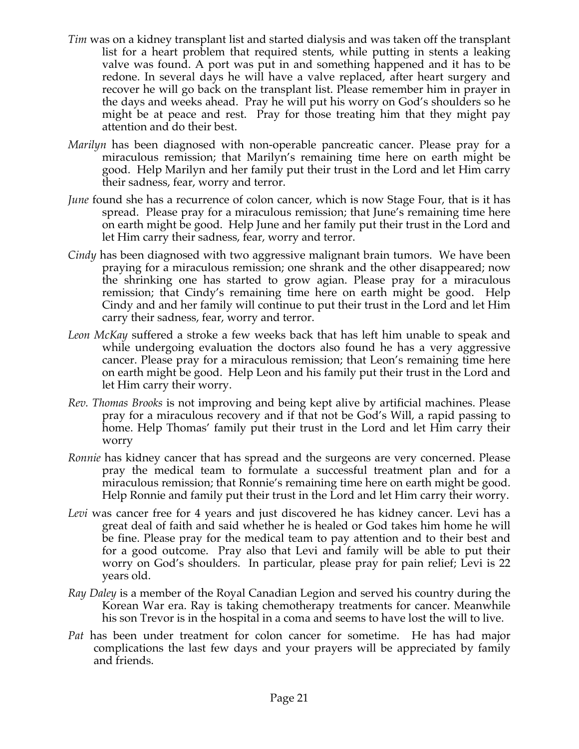- *Tim* was on a kidney transplant list and started dialysis and was taken off the transplant list for a heart problem that required stents, while putting in stents a leaking valve was found. A port was put in and something happened and it has to be redone. In several days he will have a valve replaced, after heart surgery and recover he will go back on the transplant list. Please remember him in prayer in the days and weeks ahead. Pray he will put his worry on God's shoulders so he might be at peace and rest. Pray for those treating him that they might pay attention and do their best.
- *Marilyn* has been diagnosed with non-operable pancreatic cancer. Please pray for a miraculous remission; that Marilyn's remaining time here on earth might be good. Help Marilyn and her family put their trust in the Lord and let Him carry their sadness, fear, worry and terror.
- *June* found she has a recurrence of colon cancer, which is now Stage Four, that is it has spread. Please pray for a miraculous remission; that June's remaining time here on earth might be good. Help June and her family put their trust in the Lord and let Him carry their sadness, fear, worry and terror.
- *Cindy* has been diagnosed with two aggressive malignant brain tumors. We have been praying for a miraculous remission; one shrank and the other disappeared; now the shrinking one has started to grow agian. Please pray for a miraculous remission; that Cindy's remaining time here on earth might be good. Help Cindy and and her family will continue to put their trust in the Lord and let Him carry their sadness, fear, worry and terror.
- *Leon McKay* suffered a stroke a few weeks back that has left him unable to speak and while undergoing evaluation the doctors also found he has a very aggressive cancer. Please pray for a miraculous remission; that Leon's remaining time here on earth might be good. Help Leon and his family put their trust in the Lord and let Him carry their worry.
- *Rev. Thomas Brooks* is not improving and being kept alive by artificial machines. Please pray for a miraculous recovery and if that not be God's Will, a rapid passing to home. Help Thomas' family put their trust in the Lord and let Him carry their worry
- *Ronnie* has kidney cancer that has spread and the surgeons are very concerned. Please pray the medical team to formulate a successful treatment plan and for a miraculous remission; that Ronnie's remaining time here on earth might be good. Help Ronnie and family put their trust in the Lord and let Him carry their worry.
- *Levi* was cancer free for 4 years and just discovered he has kidney cancer. Levi has a great deal of faith and said whether he is healed or God takes him home he will be fine. Please pray for the medical team to pay attention and to their best and for a good outcome. Pray also that Levi and family will be able to put their worry on God's shoulders. In particular, please pray for pain relief; Levi is 22 years old.
- *Ray Daley* is a member of the Royal Canadian Legion and served his country during the Korean War era. Ray is taking chemotherapy treatments for cancer. Meanwhile his son Trevor is in the hospital in a coma and seems to have lost the will to live.
- *Pat* has been under treatment for colon cancer for sometime. He has had major complications the last few days and your prayers will be appreciated by family and friends.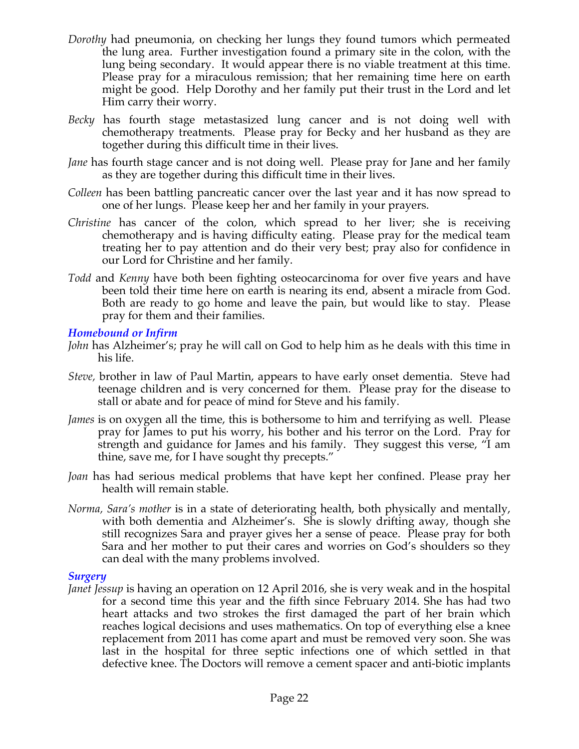- *Dorothy* had pneumonia, on checking her lungs they found tumors which permeated the lung area. Further investigation found a primary site in the colon, with the lung being secondary. It would appear there is no viable treatment at this time. Please pray for a miraculous remission; that her remaining time here on earth might be good. Help Dorothy and her family put their trust in the Lord and let Him carry their worry.
- *Becky* has fourth stage metastasized lung cancer and is not doing well with chemotherapy treatments. Please pray for Becky and her husband as they are together during this difficult time in their lives.
- *Jane* has fourth stage cancer and is not doing well. Please pray for Jane and her family as they are together during this difficult time in their lives.
- *Colleen* has been battling pancreatic cancer over the last year and it has now spread to one of her lungs. Please keep her and her family in your prayers.
- *Christine* has cancer of the colon, which spread to her liver; she is receiving chemotherapy and is having difficulty eating. Please pray for the medical team treating her to pay attention and do their very best; pray also for confidence in our Lord for Christine and her family.
- *Todd* and *Kenny* have both been fighting osteocarcinoma for over five years and have been told their time here on earth is nearing its end, absent a miracle from God. Both are ready to go home and leave the pain, but would like to stay. Please pray for them and their families.

## *Homebound or Infirm*

- *John* has Alzheimer's; pray he will call on God to help him as he deals with this time in his life.
- *Steve,* brother in law of Paul Martin, appears to have early onset dementia. Steve had teenage children and is very concerned for them. Please pray for the disease to stall or abate and for peace of mind for Steve and his family.
- *James* is on oxygen all the time, this is bothersome to him and terrifying as well. Please pray for James to put his worry, his bother and his terror on the Lord. Pray for strength and guidance for James and his family. They suggest this verse, "I am thine, save me, for I have sought thy precepts."
- *Joan* has had serious medical problems that have kept her confined. Please pray her health will remain stable.
- *Norma, Sara's mother* is in a state of deteriorating health, both physically and mentally, with both dementia and Alzheimer's. She is slowly drifting away, though she still recognizes Sara and prayer gives her a sense of peace. Please pray for both Sara and her mother to put their cares and worries on God's shoulders so they can deal with the many problems involved.

### *Surgery*

*Janet Jessup* is having an operation on 12 April 2016, she is very weak and in the hospital for a second time this year and the fifth since February 2014. She has had two heart attacks and two strokes the first damaged the part of her brain which reaches logical decisions and uses mathematics. On top of everything else a knee replacement from 2011 has come apart and must be removed very soon. She was last in the hospital for three septic infections one of which settled in that defective knee. The Doctors will remove a cement spacer and anti-biotic implants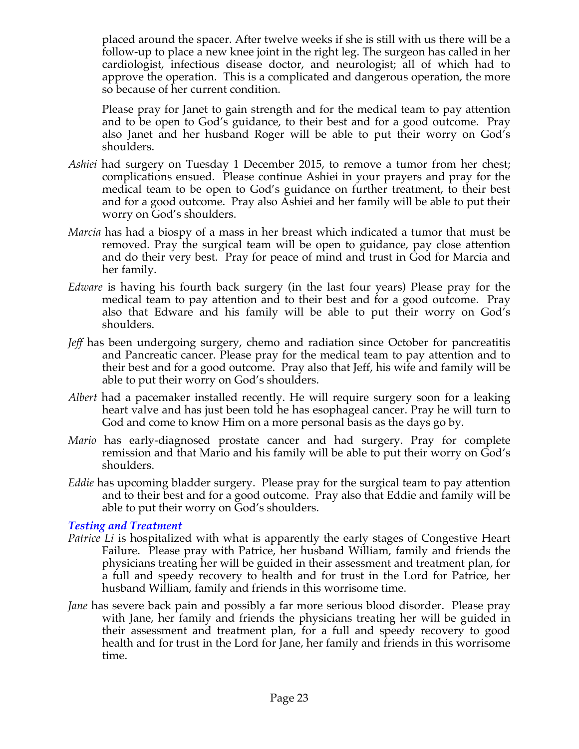placed around the spacer. After twelve weeks if she is still with us there will be a follow-up to place a new knee joint in the right leg. The surgeon has called in her cardiologist, infectious disease doctor, and neurologist; all of which had to approve the operation. This is a complicated and dangerous operation, the more so because of her current condition.

Please pray for Janet to gain strength and for the medical team to pay attention and to be open to God's guidance, to their best and for a good outcome. Pray also Janet and her husband Roger will be able to put their worry on God's shoulders.

- *Ashiei* had surgery on Tuesday 1 December 2015, to remove a tumor from her chest; complications ensued. Please continue Ashiei in your prayers and pray for the medical team to be open to God's guidance on further treatment, to their best and for a good outcome. Pray also Ashiei and her family will be able to put their worry on God's shoulders.
- *Marcia* has had a biospy of a mass in her breast which indicated a tumor that must be removed. Pray the surgical team will be open to guidance, pay close attention and do their very best. Pray for peace of mind and trust in God for Marcia and her family.
- *Edware* is having his fourth back surgery (in the last four years) Please pray for the medical team to pay attention and to their best and for a good outcome. Pray also that Edware and his family will be able to put their worry on God's shoulders.
- *Jeff* has been undergoing surgery, chemo and radiation since October for pancreatitis and Pancreatic cancer. Please pray for the medical team to pay attention and to their best and for a good outcome. Pray also that Jeff, his wife and family will be able to put their worry on God's shoulders.
- *Albert* had a pacemaker installed recently. He will require surgery soon for a leaking heart valve and has just been told he has esophageal cancer. Pray he will turn to God and come to know Him on a more personal basis as the days go by.
- *Mario* has early-diagnosed prostate cancer and had surgery. Pray for complete remission and that Mario and his family will be able to put their worry on God's shoulders.
- *Eddie* has upcoming bladder surgery. Please pray for the surgical team to pay attention and to their best and for a good outcome. Pray also that Eddie and family will be able to put their worry on God's shoulders.

## *Testing and Treatment*

- Patrice Li is hospitalized with what is apparently the early stages of Congestive Heart Failure. Please pray with Patrice, her husband William, family and friends the physicians treating her will be guided in their assessment and treatment plan, for a full and speedy recovery to health and for trust in the Lord for Patrice, her husband William, family and friends in this worrisome time.
- *Jane* has severe back pain and possibly a far more serious blood disorder. Please pray with Jane, her family and friends the physicians treating her will be guided in their assessment and treatment plan, for a full and speedy recovery to good health and for trust in the Lord for Jane, her family and friends in this worrisome time.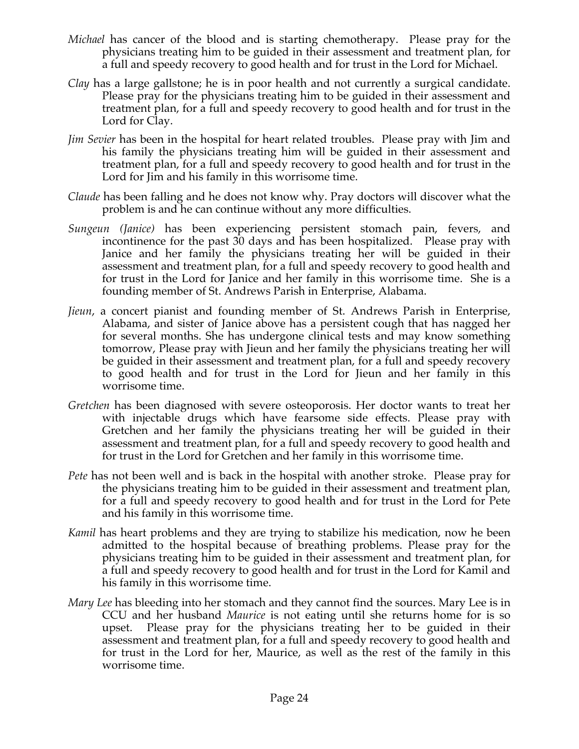- *Michael* has cancer of the blood and is starting chemotherapy. Please pray for the physicians treating him to be guided in their assessment and treatment plan, for a full and speedy recovery to good health and for trust in the Lord for Michael.
- *Clay* has a large gallstone; he is in poor health and not currently a surgical candidate. Please pray for the physicians treating him to be guided in their assessment and treatment plan, for a full and speedy recovery to good health and for trust in the Lord for Clay.
- *Jim Sevier* has been in the hospital for heart related troubles. Please pray with Jim and his family the physicians treating him will be guided in their assessment and treatment plan, for a full and speedy recovery to good health and for trust in the Lord for Jim and his family in this worrisome time.
- *Claude* has been falling and he does not know why. Pray doctors will discover what the problem is and he can continue without any more difficulties.
- *Sungeun (Janice)* has been experiencing persistent stomach pain, fevers, and incontinence for the past 30 days and has been hospitalized. Please pray with Janice and her family the physicians treating her will be guided in their assessment and treatment plan, for a full and speedy recovery to good health and for trust in the Lord for Janice and her family in this worrisome time. She is a founding member of St. Andrews Parish in Enterprise, Alabama.
- *Jieun*, a concert pianist and founding member of St. Andrews Parish in Enterprise, Alabama, and sister of Janice above has a persistent cough that has nagged her for several months. She has undergone clinical tests and may know something tomorrow, Please pray with Jieun and her family the physicians treating her will be guided in their assessment and treatment plan, for a full and speedy recovery to good health and for trust in the Lord for Jieun and her family in this worrisome time.
- *Gretchen* has been diagnosed with severe osteoporosis. Her doctor wants to treat her with injectable drugs which have fearsome side effects. Please pray with Gretchen and her family the physicians treating her will be guided in their assessment and treatment plan, for a full and speedy recovery to good health and for trust in the Lord for Gretchen and her family in this worrisome time.
- *Pete* has not been well and is back in the hospital with another stroke. Please pray for the physicians treating him to be guided in their assessment and treatment plan, for a full and speedy recovery to good health and for trust in the Lord for Pete and his family in this worrisome time.
- *Kamil* has heart problems and they are trying to stabilize his medication, now he been admitted to the hospital because of breathing problems. Please pray for the physicians treating him to be guided in their assessment and treatment plan, for a full and speedy recovery to good health and for trust in the Lord for Kamil and his family in this worrisome time.
- *Mary Lee* has bleeding into her stomach and they cannot find the sources. Mary Lee is in CCU and her husband *Maurice* is not eating until she returns home for is so upset. Please pray for the physicians treating her to be guided in their assessment and treatment plan, for a full and speedy recovery to good health and for trust in the Lord for her, Maurice, as well as the rest of the family in this worrisome time.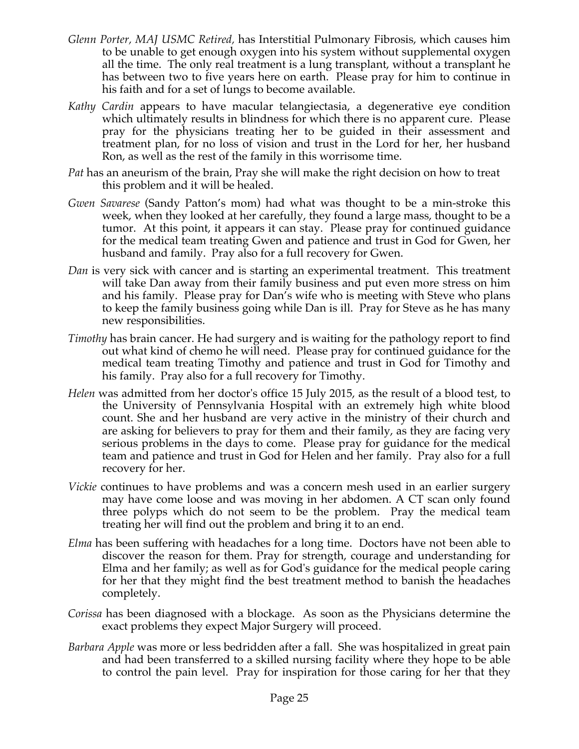- *Glenn Porter, MAJ USMC Retired,* has Interstitial Pulmonary Fibrosis, which causes him to be unable to get enough oxygen into his system without supplemental oxygen all the time. The only real treatment is a lung transplant, without a transplant he has between two to five years here on earth. Please pray for him to continue in his faith and for a set of lungs to become available.
- *Kathy Cardin* appears to have macular telangiectasia, a degenerative eye condition which ultimately results in blindness for which there is no apparent cure. Please pray for the physicians treating her to be guided in their assessment and treatment plan, for no loss of vision and trust in the Lord for her, her husband Ron, as well as the rest of the family in this worrisome time.
- *Pat* has an aneurism of the brain, Pray she will make the right decision on how to treat this problem and it will be healed.
- *Gwen Savarese* (Sandy Patton's mom) had what was thought to be a min-stroke this week, when they looked at her carefully, they found a large mass, thought to be a tumor. At this point, it appears it can stay. Please pray for continued guidance for the medical team treating Gwen and patience and trust in God for Gwen, her husband and family. Pray also for a full recovery for Gwen.
- *Dan* is very sick with cancer and is starting an experimental treatment. This treatment will take Dan away from their family business and put even more stress on him and his family. Please pray for Dan's wife who is meeting with Steve who plans to keep the family business going while Dan is ill. Pray for Steve as he has many new responsibilities.
- *Timothy* has brain cancer. He had surgery and is waiting for the pathology report to find out what kind of chemo he will need. Please pray for continued guidance for the medical team treating Timothy and patience and trust in God for Timothy and his family. Pray also for a full recovery for Timothy.
- *Helen* was admitted from her doctor's office 15 July 2015, as the result of a blood test, to the University of Pennsylvania Hospital with an extremely high white blood count. She and her husband are very active in the ministry of their church and are asking for believers to pray for them and their family, as they are facing very serious problems in the days to come. Please pray for guidance for the medical team and patience and trust in God for Helen and her family. Pray also for a full recovery for her.
- *Vickie* continues to have problems and was a concern mesh used in an earlier surgery may have come loose and was moving in her abdomen. A CT scan only found three polyps which do not seem to be the problem. Pray the medical team treating her will find out the problem and bring it to an end.
- *Elma* has been suffering with headaches for a long time. Doctors have not been able to discover the reason for them. Pray for strength, courage and understanding for Elma and her family; as well as for God's guidance for the medical people caring for her that they might find the best treatment method to banish the headaches completely.
- *Corissa* has been diagnosed with a blockage. As soon as the Physicians determine the exact problems they expect Major Surgery will proceed.
- *Barbara Apple* was more or less bedridden after a fall. She was hospitalized in great pain and had been transferred to a skilled nursing facility where they hope to be able to control the pain level. Pray for inspiration for those caring for her that they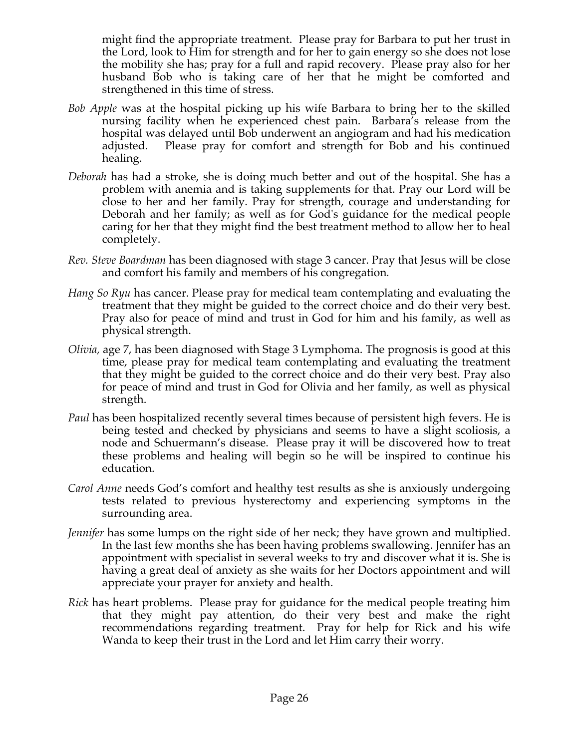might find the appropriate treatment. Please pray for Barbara to put her trust in the Lord, look to Him for strength and for her to gain energy so she does not lose the mobility she has; pray for a full and rapid recovery. Please pray also for her husband Bob who is taking care of her that he might be comforted and strengthened in this time of stress.

- *Bob Apple* was at the hospital picking up his wife Barbara to bring her to the skilled nursing facility when he experienced chest pain. Barbara's release from the hospital was delayed until Bob underwent an angiogram and had his medication adjusted. Please pray for comfort and strength for Bob and his continued healing.
- *Deborah* has had a stroke, she is doing much better and out of the hospital. She has a problem with anemia and is taking supplements for that. Pray our Lord will be close to her and her family. Pray for strength, courage and understanding for Deborah and her family; as well as for God's guidance for the medical people caring for her that they might find the best treatment method to allow her to heal completely.
- *Rev. Steve Boardman* has been diagnosed with stage 3 cancer. Pray that Jesus will be close and comfort his family and members of his congregation*.*
- *Hang So Ryu* has cancer. Please pray for medical team contemplating and evaluating the treatment that they might be guided to the correct choice and do their very best. Pray also for peace of mind and trust in God for him and his family, as well as physical strength.
- *Olivia,* age 7, has been diagnosed with Stage 3 Lymphoma. The prognosis is good at this time, please pray for medical team contemplating and evaluating the treatment that they might be guided to the correct choice and do their very best. Pray also for peace of mind and trust in God for Olivia and her family, as well as physical strength.
- *Paul* has been hospitalized recently several times because of persistent high fevers. He is being tested and checked by physicians and seems to have a slight scoliosis, a node and Schuermann's disease. Please pray it will be discovered how to treat these problems and healing will begin so he will be inspired to continue his education.
- *Carol Anne* needs God's comfort and healthy test results as she is anxiously undergoing tests related to previous hysterectomy and experiencing symptoms in the surrounding area.
- *Jennifer* has some lumps on the right side of her neck; they have grown and multiplied. In the last few months she has been having problems swallowing. Jennifer has an appointment with specialist in several weeks to try and discover what it is. She is having a great deal of anxiety as she waits for her Doctors appointment and will appreciate your prayer for anxiety and health.
- *Rick* has heart problems. Please pray for guidance for the medical people treating him that they might pay attention, do their very best and make the right recommendations regarding treatment. Pray for help for Rick and his wife Wanda to keep their trust in the Lord and let Him carry their worry.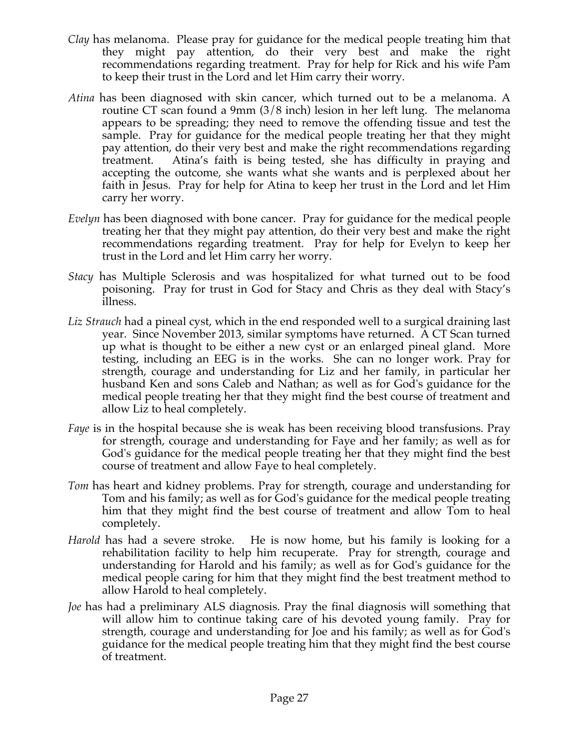- *Clay* has melanoma. Please pray for guidance for the medical people treating him that they might pay attention, do their very best and make the right recommendations regarding treatment. Pray for help for Rick and his wife Pam to keep their trust in the Lord and let Him carry their worry.
- *Atina* has been diagnosed with skin cancer, which turned out to be a melanoma. A routine CT scan found a 9mm (3/8 inch) lesion in her left lung. The melanoma appears to be spreading; they need to remove the offending tissue and test the sample. Pray for guidance for the medical people treating her that they might pay attention, do their very best and make the right recommendations regarding treatment. Atina's faith is being tested, she has difficulty in praying and accepting the outcome, she wants what she wants and is perplexed about her faith in Jesus. Pray for help for Atina to keep her trust in the Lord and let Him carry her worry.
- *Evelyn* has been diagnosed with bone cancer. Pray for guidance for the medical people treating her that they might pay attention, do their very best and make the right recommendations regarding treatment. Pray for help for Evelyn to keep her trust in the Lord and let Him carry her worry.
- *Stacy* has Multiple Sclerosis and was hospitalized for what turned out to be food poisoning. Pray for trust in God for Stacy and Chris as they deal with Stacy's illness.
- *Liz Strauch* had a pineal cyst, which in the end responded well to a surgical draining last year. Since November 2013, similar symptoms have returned. A CT Scan turned up what is thought to be either a new cyst or an enlarged pineal gland. More testing, including an EEG is in the works. She can no longer work. Pray for strength, courage and understanding for Liz and her family, in particular her husband Ken and sons Caleb and Nathan; as well as for God's guidance for the medical people treating her that they might find the best course of treatment and allow Liz to heal completely.
- *Faye* is in the hospital because she is weak has been receiving blood transfusions. Pray for strength, courage and understanding for Faye and her family; as well as for God's guidance for the medical people treating her that they might find the best course of treatment and allow Faye to heal completely.
- *Tom* has heart and kidney problems. Pray for strength, courage and understanding for Tom and his family; as well as for God's guidance for the medical people treating him that they might find the best course of treatment and allow Tom to heal completely.
- *Harold* has had a severe stroke. He is now home, but his family is looking for a rehabilitation facility to help him recuperate. Pray for strength, courage and understanding for Harold and his family; as well as for God's guidance for the medical people caring for him that they might find the best treatment method to allow Harold to heal completely.
- *Joe* has had a preliminary ALS diagnosis. Pray the final diagnosis will something that will allow him to continue taking care of his devoted young family. Pray for strength, courage and understanding for Joe and his family; as well as for God's guidance for the medical people treating him that they might find the best course of treatment.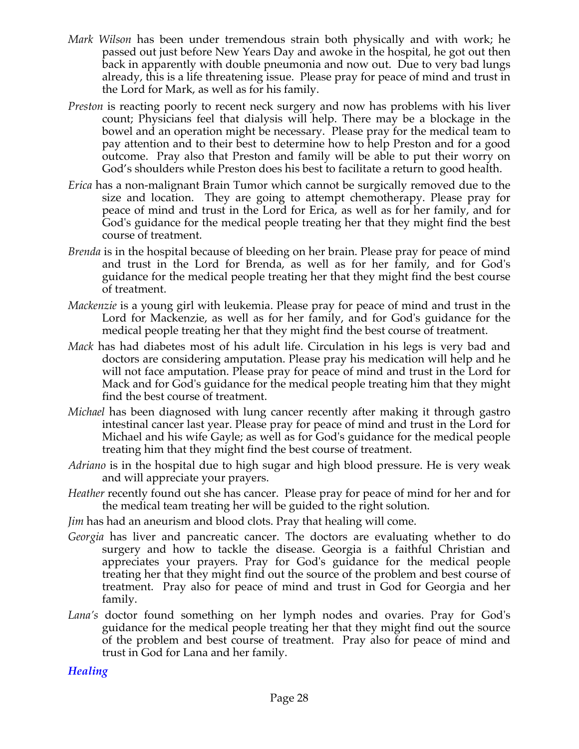- *Mark Wilson* has been under tremendous strain both physically and with work; he passed out just before New Years Day and awoke in the hospital, he got out then back in apparently with double pneumonia and now out. Due to very bad lungs already, this is a life threatening issue. Please pray for peace of mind and trust in the Lord for Mark, as well as for his family.
- *Preston* is reacting poorly to recent neck surgery and now has problems with his liver count; Physicians feel that dialysis will help. There may be a blockage in the bowel and an operation might be necessary. Please pray for the medical team to pay attention and to their best to determine how to help Preston and for a good outcome. Pray also that Preston and family will be able to put their worry on God's shoulders while Preston does his best to facilitate a return to good health.
- *Erica* has a non-malignant Brain Tumor which cannot be surgically removed due to the size and location. They are going to attempt chemotherapy. Please pray for peace of mind and trust in the Lord for Erica, as well as for her family, and for God's guidance for the medical people treating her that they might find the best course of treatment.
- *Brenda* is in the hospital because of bleeding on her brain. Please pray for peace of mind and trust in the Lord for Brenda, as well as for her family, and for God's guidance for the medical people treating her that they might find the best course of treatment.
- *Mackenzie* is a young girl with leukemia. Please pray for peace of mind and trust in the Lord for Mackenzie, as well as for her family, and for God's guidance for the medical people treating her that they might find the best course of treatment.
- *Mack* has had diabetes most of his adult life. Circulation in his legs is very bad and doctors are considering amputation. Please pray his medication will help and he will not face amputation. Please pray for peace of mind and trust in the Lord for Mack and for God's guidance for the medical people treating him that they might find the best course of treatment.
- *Michael* has been diagnosed with lung cancer recently after making it through gastro intestinal cancer last year. Please pray for peace of mind and trust in the Lord for Michael and his wife Gayle; as well as for God's guidance for the medical people treating him that they might find the best course of treatment.
- *Adriano* is in the hospital due to high sugar and high blood pressure. He is very weak and will appreciate your prayers.
- *Heather* recently found out she has cancer. Please pray for peace of mind for her and for the medical team treating her will be guided to the right solution.
- *Jim* has had an aneurism and blood clots. Pray that healing will come.
- *Georgia* has liver and pancreatic cancer. The doctors are evaluating whether to do surgery and how to tackle the disease. Georgia is a faithful Christian and appreciates your prayers. Pray for God's guidance for the medical people treating her that they might find out the source of the problem and best course of treatment. Pray also for peace of mind and trust in God for Georgia and her family.
- *Lana's* doctor found something on her lymph nodes and ovaries. Pray for God's guidance for the medical people treating her that they might find out the source of the problem and best course of treatment. Pray also for peace of mind and trust in God for Lana and her family.

*Healing*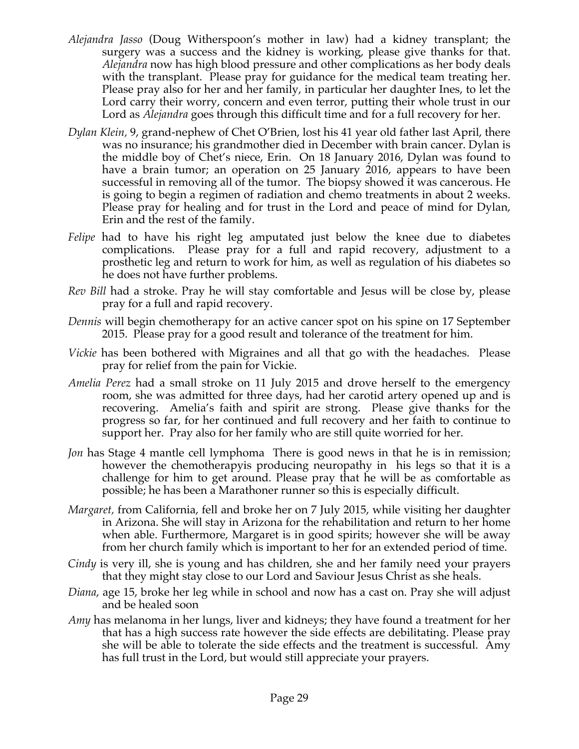- *Alejandra Jasso* (Doug Witherspoon's mother in law) had a kidney transplant; the surgery was a success and the kidney is working, please give thanks for that. *Alejandra* now has high blood pressure and other complications as her body deals with the transplant. Please pray for guidance for the medical team treating her. Please pray also for her and her family, in particular her daughter Ines, to let the Lord carry their worry, concern and even terror, putting their whole trust in our Lord as *Alejandra* goes through this difficult time and for a full recovery for her.
- *Dylan Klein,* 9, grand-nephew of Chet O'Brien, lost his 41 year old father last April, there was no insurance; his grandmother died in December with brain cancer. Dylan is the middle boy of Chet's niece, Erin. On 18 January 2016, Dylan was found to have a brain tumor; an operation on 25 January 2016, appears to have been successful in removing all of the tumor. The biopsy showed it was cancerous. He is going to begin a regimen of radiation and chemo treatments in about 2 weeks. Please pray for healing and for trust in the Lord and peace of mind for Dylan, Erin and the rest of the family.
- *Felipe* had to have his right leg amputated just below the knee due to diabetes complications. Please pray for a full and rapid recovery, adjustment to a prosthetic leg and return to work for him, as well as regulation of his diabetes so he does not have further problems.
- *Rev Bill* had a stroke. Pray he will stay comfortable and Jesus will be close by, please pray for a full and rapid recovery.
- *Dennis* will begin chemotherapy for an active cancer spot on his spine on 17 September 2015. Please pray for a good result and tolerance of the treatment for him.
- *Vickie* has been bothered with Migraines and all that go with the headaches. Please pray for relief from the pain for Vickie.
- *Amelia Perez* had a small stroke on 11 July 2015 and drove herself to the emergency room, she was admitted for three days, had her carotid artery opened up and is recovering. Amelia's faith and spirit are strong. Please give thanks for the progress so far, for her continued and full recovery and her faith to continue to support her. Pray also for her family who are still quite worried for her.
- *Jon* has Stage 4 mantle cell lymphoma There is good news in that he is in remission; however the chemotherapyis producing neuropathy in his legs so that it is a challenge for him to get around. Please pray that he will be as comfortable as possible; he has been a Marathoner runner so this is especially difficult.
- *Margaret,* from California, fell and broke her on 7 July 2015, while visiting her daughter in Arizona. She will stay in Arizona for the rehabilitation and return to her home when able. Furthermore, Margaret is in good spirits; however she will be away from her church family which is important to her for an extended period of time.
- *Cindy* is very ill, she is young and has children, she and her family need your prayers that they might stay close to our Lord and Saviour Jesus Christ as she heals.
- *Diana*, age 15, broke her leg while in school and now has a cast on. Pray she will adjust and be healed soon
- *Amy* has melanoma in her lungs, liver and kidneys; they have found a treatment for her that has a high success rate however the side effects are debilitating. Please pray she will be able to tolerate the side effects and the treatment is successful. Amy has full trust in the Lord, but would still appreciate your prayers.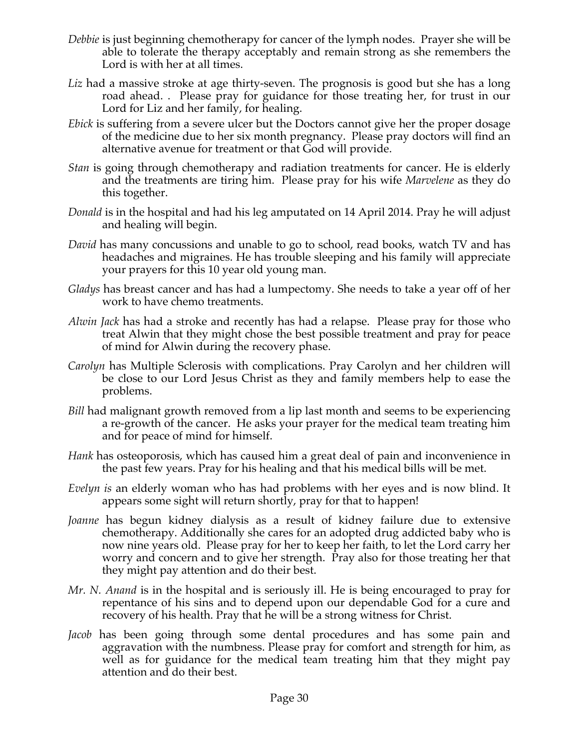- *Debbie* is just beginning chemotherapy for cancer of the lymph nodes. Prayer she will be able to tolerate the therapy acceptably and remain strong as she remembers the Lord is with her at all times.
- *Liz* had a massive stroke at age thirty-seven. The prognosis is good but she has a long road ahead. . Please pray for guidance for those treating her, for trust in our Lord for Liz and her family, for healing.
- *Ebick* is suffering from a severe ulcer but the Doctors cannot give her the proper dosage of the medicine due to her six month pregnancy. Please pray doctors will find an alternative avenue for treatment or that God will provide.
- *Stan* is going through chemotherapy and radiation treatments for cancer. He is elderly and the treatments are tiring him. Please pray for his wife *Marvelene* as they do this together.
- *Donald* is in the hospital and had his leg amputated on 14 April 2014. Pray he will adjust and healing will begin.
- *David* has many concussions and unable to go to school, read books, watch TV and has headaches and migraines. He has trouble sleeping and his family will appreciate your prayers for this 10 year old young man.
- *Gladys* has breast cancer and has had a lumpectomy. She needs to take a year off of her work to have chemo treatments.
- *Alwin Jack* has had a stroke and recently has had a relapse. Please pray for those who treat Alwin that they might chose the best possible treatment and pray for peace of mind for Alwin during the recovery phase.
- *Carolyn* has Multiple Sclerosis with complications. Pray Carolyn and her children will be close to our Lord Jesus Christ as they and family members help to ease the problems.
- *Bill* had malignant growth removed from a lip last month and seems to be experiencing a re-growth of the cancer. He asks your prayer for the medical team treating him and for peace of mind for himself.
- *Hank* has osteoporosis, which has caused him a great deal of pain and inconvenience in the past few years. Pray for his healing and that his medical bills will be met.
- *Evelyn is* an elderly woman who has had problems with her eyes and is now blind. It appears some sight will return shortly, pray for that to happen!
- *Joanne* has begun kidney dialysis as a result of kidney failure due to extensive chemotherapy. Additionally she cares for an adopted drug addicted baby who is now nine years old. Please pray for her to keep her faith, to let the Lord carry her worry and concern and to give her strength. Pray also for those treating her that they might pay attention and do their best.
- *Mr. N. Anand* is in the hospital and is seriously ill. He is being encouraged to pray for repentance of his sins and to depend upon our dependable God for a cure and recovery of his health. Pray that he will be a strong witness for Christ.
- *Jacob* has been going through some dental procedures and has some pain and aggravation with the numbness. Please pray for comfort and strength for him, as well as for guidance for the medical team treating him that they might pay attention and do their best.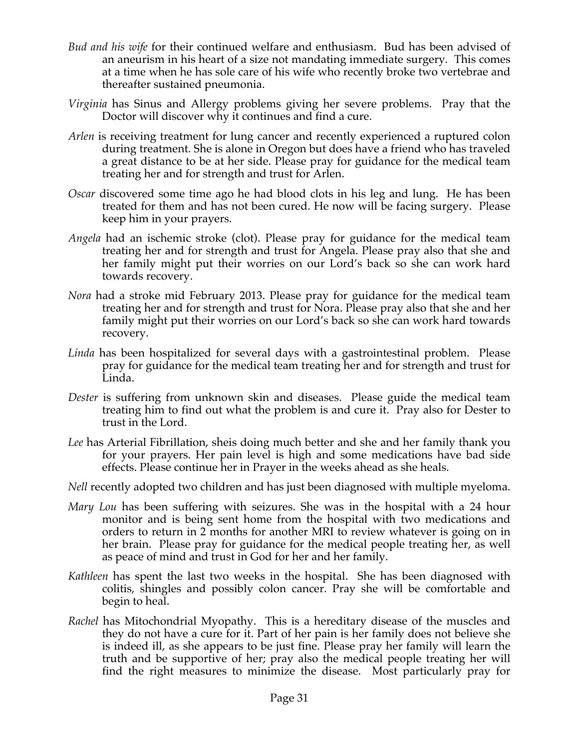- *Bud and his wife* for their continued welfare and enthusiasm. Bud has been advised of an aneurism in his heart of a size not mandating immediate surgery. This comes at a time when he has sole care of his wife who recently broke two vertebrae and thereafter sustained pneumonia.
- *Virginia* has Sinus and Allergy problems giving her severe problems. Pray that the Doctor will discover why it continues and find a cure.
- *Arlen* is receiving treatment for lung cancer and recently experienced a ruptured colon during treatment. She is alone in Oregon but does have a friend who has traveled a great distance to be at her side. Please pray for guidance for the medical team treating her and for strength and trust for Arlen.
- *Oscar* discovered some time ago he had blood clots in his leg and lung. He has been treated for them and has not been cured. He now will be facing surgery. Please keep him in your prayers.
- *Angela* had an ischemic stroke (clot). Please pray for guidance for the medical team treating her and for strength and trust for Angela. Please pray also that she and her family might put their worries on our Lord's back so she can work hard towards recovery.
- *Nora* had a stroke mid February 2013. Please pray for guidance for the medical team treating her and for strength and trust for Nora. Please pray also that she and her family might put their worries on our Lord's back so she can work hard towards recovery.
- *Linda* has been hospitalized for several days with a gastrointestinal problem. Please pray for guidance for the medical team treating her and for strength and trust for Linda.
- *Dester* is suffering from unknown skin and diseases. Please guide the medical team treating him to find out what the problem is and cure it. Pray also for Dester to trust in the Lord.
- *Lee* has Arterial Fibrillation, sheis doing much better and she and her family thank you for your prayers. Her pain level is high and some medications have bad side effects. Please continue her in Prayer in the weeks ahead as she heals.
- *Nell* recently adopted two children and has just been diagnosed with multiple myeloma.
- *Mary Lou* has been suffering with seizures. She was in the hospital with a 24 hour monitor and is being sent home from the hospital with two medications and orders to return in 2 months for another MRI to review whatever is going on in her brain. Please pray for guidance for the medical people treating her, as well as peace of mind and trust in God for her and her family.
- *Kathleen* has spent the last two weeks in the hospital. She has been diagnosed with colitis, shingles and possibly colon cancer. Pray she will be comfortable and begin to heal.
- *Rachel* has Mitochondrial Myopathy. This is a hereditary disease of the muscles and they do not have a cure for it. Part of her pain is her family does not believe she is indeed ill, as she appears to be just fine. Please pray her family will learn the truth and be supportive of her; pray also the medical people treating her will find the right measures to minimize the disease. Most particularly pray for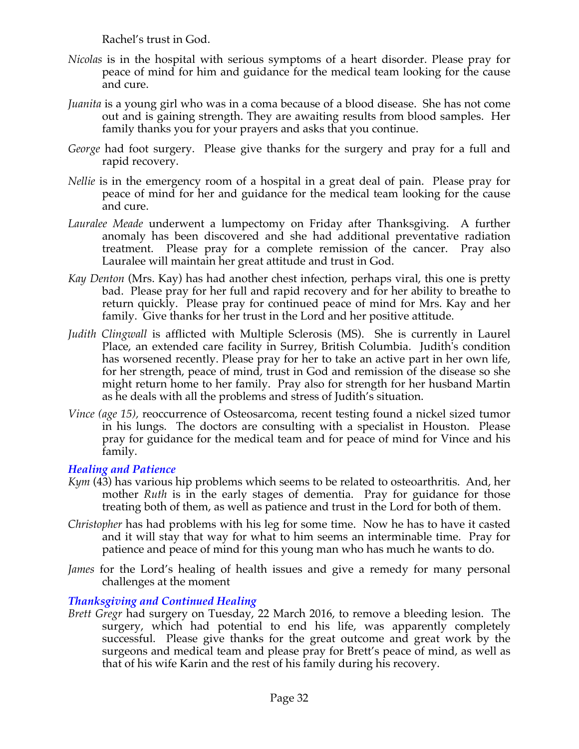Rachel's trust in God.

- *Nicolas* is in the hospital with serious symptoms of a heart disorder. Please pray for peace of mind for him and guidance for the medical team looking for the cause and cure.
- *Juanita* is a young girl who was in a coma because of a blood disease. She has not come out and is gaining strength. They are awaiting results from blood samples. Her family thanks you for your prayers and asks that you continue.
- *George* had foot surgery. Please give thanks for the surgery and pray for a full and rapid recovery.
- *Nellie* is in the emergency room of a hospital in a great deal of pain. Please pray for peace of mind for her and guidance for the medical team looking for the cause and cure.
- *Lauralee Meade* underwent a lumpectomy on Friday after Thanksgiving. A further anomaly has been discovered and she had additional preventative radiation treatment. Please pray for a complete remission of the cancer. Pray also Lauralee will maintain her great attitude and trust in God.
- *Kay Denton* (Mrs. Kay) has had another chest infection, perhaps viral, this one is pretty bad. Please pray for her full and rapid recovery and for her ability to breathe to return quickly. Please pray for continued peace of mind for Mrs. Kay and her family. Give thanks for her trust in the Lord and her positive attitude.
- *Judith Clingwall* is afflicted with Multiple Sclerosis (MS). She is currently in Laurel Place, an extended care facility in Surrey, British Columbia. Judith's condition has worsened recently. Please pray for her to take an active part in her own life, for her strength, peace of mind, trust in God and remission of the disease so she might return home to her family. Pray also for strength for her husband Martin as he deals with all the problems and stress of Judith's situation.
- *Vince (age 15),* reoccurrence of Osteosarcoma, recent testing found a nickel sized tumor in his lungs. The doctors are consulting with a specialist in Houston. Please pray for guidance for the medical team and for peace of mind for Vince and his family.

## *Healing and Patience*

- *Kym* (43) has various hip problems which seems to be related to osteoarthritis. And, her mother *Ruth* is in the early stages of dementia. Pray for guidance for those treating both of them, as well as patience and trust in the Lord for both of them.
- *Christopher* has had problems with his leg for some time. Now he has to have it casted and it will stay that way for what to him seems an interminable time. Pray for patience and peace of mind for this young man who has much he wants to do.
- *James* for the Lord's healing of health issues and give a remedy for many personal challenges at the moment

# *Thanksgiving and Continued Healing*

*Brett Gregr* had surgery on Tuesday, 22 March 2016, to remove a bleeding lesion. The surgery, which had potential to end his life, was apparently completely successful. Please give thanks for the great outcome and great work by the surgeons and medical team and please pray for Brett's peace of mind, as well as that of his wife Karin and the rest of his family during his recovery.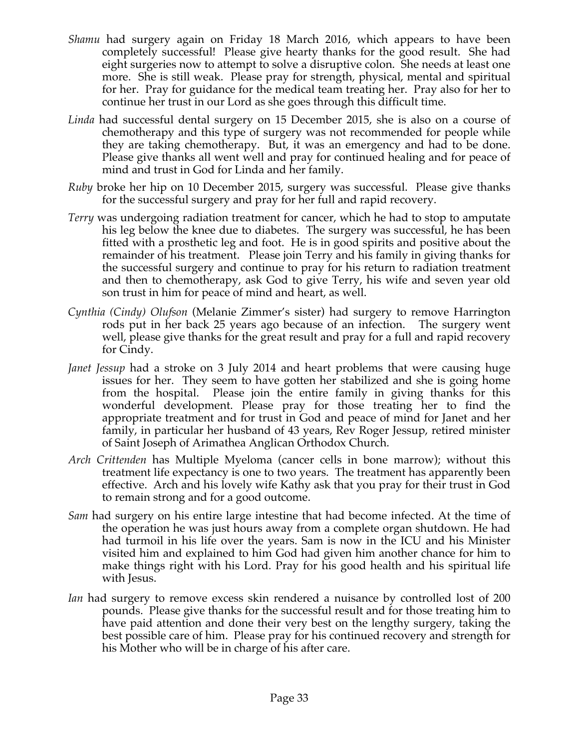- *Shamu* had surgery again on Friday 18 March 2016, which appears to have been completely successful! Please give hearty thanks for the good result. She had eight surgeries now to attempt to solve a disruptive colon. She needs at least one more. She is still weak. Please pray for strength, physical, mental and spiritual for her. Pray for guidance for the medical team treating her. Pray also for her to continue her trust in our Lord as she goes through this difficult time.
- *Linda* had successful dental surgery on 15 December 2015, she is also on a course of chemotherapy and this type of surgery was not recommended for people while they are taking chemotherapy. But, it was an emergency and had to be done. Please give thanks all went well and pray for continued healing and for peace of mind and trust in God for Linda and her family.
- *Ruby* broke her hip on 10 December 2015, surgery was successful. Please give thanks for the successful surgery and pray for her full and rapid recovery.
- *Terry* was undergoing radiation treatment for cancer, which he had to stop to amputate his leg below the knee due to diabetes. The surgery was successful, he has been fitted with a prosthetic leg and foot. He is in good spirits and positive about the remainder of his treatment. Please join Terry and his family in giving thanks for the successful surgery and continue to pray for his return to radiation treatment and then to chemotherapy, ask God to give Terry, his wife and seven year old son trust in him for peace of mind and heart, as well.
- *Cynthia (Cindy) Olufson* (Melanie Zimmer's sister) had surgery to remove Harrington rods put in her back 25 years ago because of an infection. The surgery went well, please give thanks for the great result and pray for a full and rapid recovery for Cindy.
- *Janet Jessup* had a stroke on 3 July 2014 and heart problems that were causing huge issues for her. They seem to have gotten her stabilized and she is going home from the hospital. Please join the entire family in giving thanks for this wonderful development. Please pray for those treating her to find the appropriate treatment and for trust in God and peace of mind for Janet and her family, in particular her husband of 43 years, Rev Roger Jessup, retired minister of Saint Joseph of Arimathea Anglican Orthodox Church.
- *Arch Crittenden* has Multiple Myeloma (cancer cells in bone marrow); without this treatment life expectancy is one to two years. The treatment has apparently been effective. Arch and his lovely wife Kathy ask that you pray for their trust in God to remain strong and for a good outcome.
- *Sam* had surgery on his entire large intestine that had become infected. At the time of the operation he was just hours away from a complete organ shutdown. He had had turmoil in his life over the years. Sam is now in the ICU and his Minister visited him and explained to him God had given him another chance for him to make things right with his Lord. Pray for his good health and his spiritual life with Jesus.
- *Ian* had surgery to remove excess skin rendered a nuisance by controlled lost of 200 pounds. Please give thanks for the successful result and for those treating him to have paid attention and done their very best on the lengthy surgery, taking the best possible care of him. Please pray for his continued recovery and strength for his Mother who will be in charge of his after care.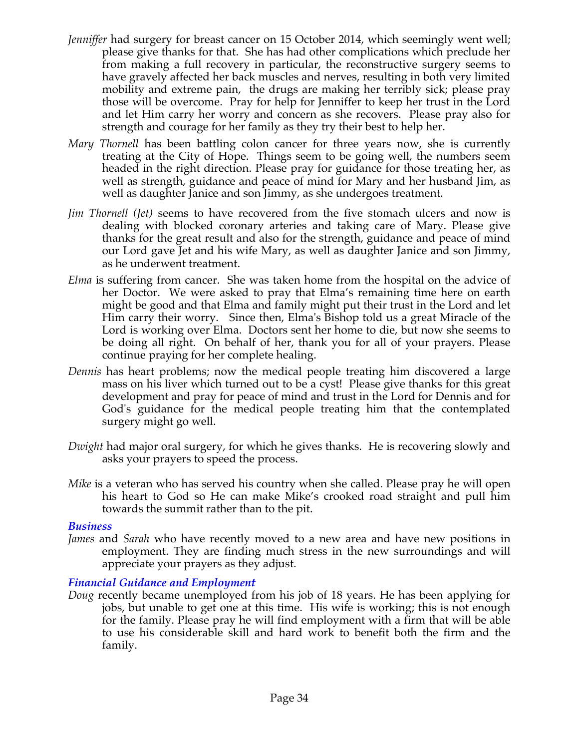- *Jenniffer* had surgery for breast cancer on 15 October 2014, which seemingly went well; please give thanks for that. She has had other complications which preclude her from making a full recovery in particular, the reconstructive surgery seems to have gravely affected her back muscles and nerves, resulting in both very limited mobility and extreme pain, the drugs are making her terribly sick; please pray those will be overcome. Pray for help for Jenniffer to keep her trust in the Lord and let Him carry her worry and concern as she recovers. Please pray also for strength and courage for her family as they try their best to help her.
- *Mary Thornell* has been battling colon cancer for three years now, she is currently treating at the City of Hope. Things seem to be going well, the numbers seem headed in the right direction. Please pray for guidance for those treating her, as well as strength, guidance and peace of mind for Mary and her husband Jim, as well as daughter Janice and son Jimmy, as she undergoes treatment.
- *Jim Thornell (Jet)* seems to have recovered from the five stomach ulcers and now is dealing with blocked coronary arteries and taking care of Mary. Please give thanks for the great result and also for the strength, guidance and peace of mind our Lord gave Jet and his wife Mary, as well as daughter Janice and son Jimmy, as he underwent treatment.
- *Elma* is suffering from cancer. She was taken home from the hospital on the advice of her Doctor. We were asked to pray that Elma's remaining time here on earth might be good and that Elma and family might put their trust in the Lord and let Him carry their worry. Since then, Elma's Bishop told us a great Miracle of the Lord is working over Elma. Doctors sent her home to die, but now she seems to be doing all right. On behalf of her, thank you for all of your prayers. Please continue praying for her complete healing.
- *Dennis* has heart problems; now the medical people treating him discovered a large mass on his liver which turned out to be a cyst! Please give thanks for this great development and pray for peace of mind and trust in the Lord for Dennis and for God's guidance for the medical people treating him that the contemplated surgery might go well.
- *Dwight* had major oral surgery, for which he gives thanks. He is recovering slowly and asks your prayers to speed the process.
- *Mike* is a veteran who has served his country when she called. Please pray he will open his heart to God so He can make Mike's crooked road straight and pull him towards the summit rather than to the pit.

## *Business*

*James* and *Sarah* who have recently moved to a new area and have new positions in employment. They are finding much stress in the new surroundings and will appreciate your prayers as they adjust.

## *Financial Guidance and Employment*

*Doug* recently became unemployed from his job of 18 years. He has been applying for jobs, but unable to get one at this time. His wife is working; this is not enough for the family. Please pray he will find employment with a firm that will be able to use his considerable skill and hard work to benefit both the firm and the family.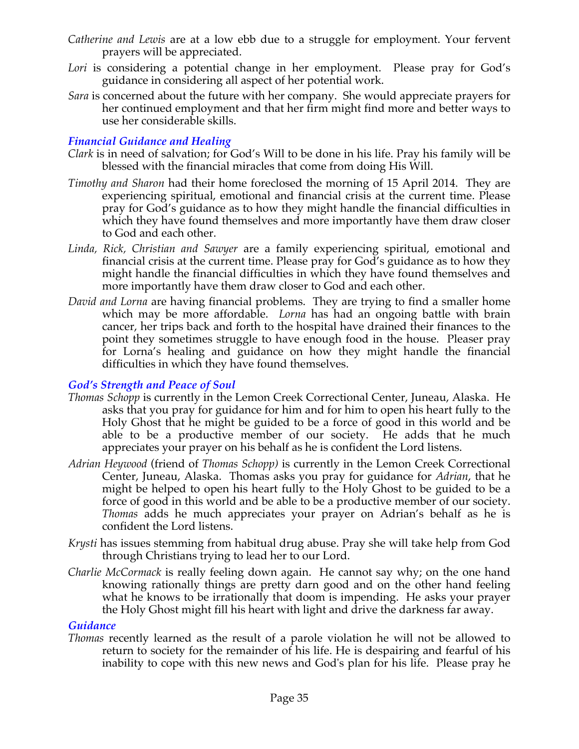- *Catherine and Lewis* are at a low ebb due to a struggle for employment. Your fervent prayers will be appreciated.
- Lori is considering a potential change in her employment. Please pray for God's guidance in considering all aspect of her potential work.
- *Sara* is concerned about the future with her company. She would appreciate prayers for her continued employment and that her firm might find more and better ways to use her considerable skills.

## *Financial Guidance and Healing*

- *Clark* is in need of salvation; for God's Will to be done in his life. Pray his family will be blessed with the financial miracles that come from doing His Will.
- *Timothy and Sharon* had their home foreclosed the morning of 15 April 2014. They are experiencing spiritual, emotional and financial crisis at the current time. Please pray for God's guidance as to how they might handle the financial difficulties in which they have found themselves and more importantly have them draw closer to God and each other.
- *Linda, Rick, Christian and Sawyer* are a family experiencing spiritual, emotional and financial crisis at the current time. Please pray for God's guidance as to how they might handle the financial difficulties in which they have found themselves and more importantly have them draw closer to God and each other.
- *David and Lorna* are having financial problems. They are trying to find a smaller home which may be more affordable. *Lorna* has had an ongoing battle with brain cancer, her trips back and forth to the hospital have drained their finances to the point they sometimes struggle to have enough food in the house. Pleaser pray for Lorna's healing and guidance on how they might handle the financial difficulties in which they have found themselves.

# *God's Strength and Peace of Soul*

- *Thomas Schopp* is currently in the Lemon Creek Correctional Center, Juneau, Alaska. He asks that you pray for guidance for him and for him to open his heart fully to the Holy Ghost that he might be guided to be a force of good in this world and be able to be a productive member of our society. He adds that he much appreciates your prayer on his behalf as he is confident the Lord listens.
- *Adrian Heywood* (friend of *Thomas Schopp)* is currently in the Lemon Creek Correctional Center, Juneau, Alaska. Thomas asks you pray for guidance for *Adrian*, that he might be helped to open his heart fully to the Holy Ghost to be guided to be a force of good in this world and be able to be a productive member of our society. *Thomas* adds he much appreciates your prayer on Adrian's behalf as he is confident the Lord listens.
- *Krysti* has issues stemming from habitual drug abuse. Pray she will take help from God through Christians trying to lead her to our Lord.
- *Charlie McCormack* is really feeling down again. He cannot say why; on the one hand knowing rationally things are pretty darn good and on the other hand feeling what he knows to be irrationally that doom is impending. He asks your prayer the Holy Ghost might fill his heart with light and drive the darkness far away.

## *Guidance*

*Thomas* recently learned as the result of a parole violation he will not be allowed to return to society for the remainder of his life. He is despairing and fearful of his inability to cope with this new news and God's plan for his life. Please pray he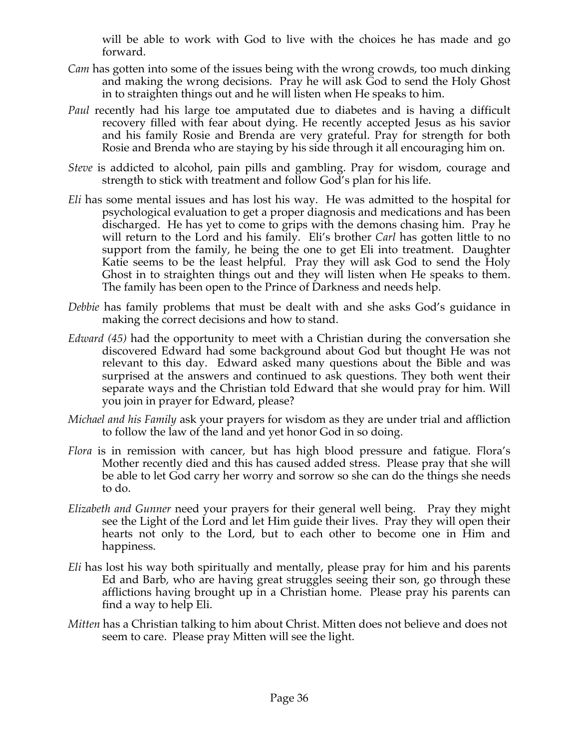will be able to work with God to live with the choices he has made and go forward.

- *Cam* has gotten into some of the issues being with the wrong crowds, too much dinking and making the wrong decisions. Pray he will ask God to send the Holy Ghost in to straighten things out and he will listen when He speaks to him.
- *Paul* recently had his large toe amputated due to diabetes and is having a difficult recovery filled with fear about dying. He recently accepted Jesus as his savior and his family Rosie and Brenda are very grateful. Pray for strength for both Rosie and Brenda who are staying by his side through it all encouraging him on.
- *Steve* is addicted to alcohol, pain pills and gambling. Pray for wisdom, courage and strength to stick with treatment and follow God's plan for his life.
- *Eli* has some mental issues and has lost his way. He was admitted to the hospital for psychological evaluation to get a proper diagnosis and medications and has been discharged. He has yet to come to grips with the demons chasing him. Pray he will return to the Lord and his family. Eli's brother *Carl* has gotten little to no support from the family, he being the one to get Eli into treatment. Daughter Katie seems to be the least helpful. Pray they will ask God to send the Holy Ghost in to straighten things out and they will listen when He speaks to them. The family has been open to the Prince of Darkness and needs help.
- *Debbie* has family problems that must be dealt with and she asks God's guidance in making the correct decisions and how to stand.
- *Edward (45)* had the opportunity to meet with a Christian during the conversation she discovered Edward had some background about God but thought He was not relevant to this day. Edward asked many questions about the Bible and was surprised at the answers and continued to ask questions. They both went their separate ways and the Christian told Edward that she would pray for him. Will you join in prayer for Edward, please?
- *Michael and his Family* ask your prayers for wisdom as they are under trial and affliction to follow the law of the land and yet honor God in so doing.
- *Flora* is in remission with cancer, but has high blood pressure and fatigue. Flora's Mother recently died and this has caused added stress. Please pray that she will be able to let God carry her worry and sorrow so she can do the things she needs to do.
- *Elizabeth and Gunner* need your prayers for their general well being. Pray they might see the Light of the Lord and let Him guide their lives. Pray they will open their hearts not only to the Lord, but to each other to become one in Him and happiness.
- *Eli* has lost his way both spiritually and mentally, please pray for him and his parents Ed and Barb, who are having great struggles seeing their son, go through these afflictions having brought up in a Christian home. Please pray his parents can find a way to help Eli.
- *Mitten* has a Christian talking to him about Christ. Mitten does not believe and does not seem to care. Please pray Mitten will see the light.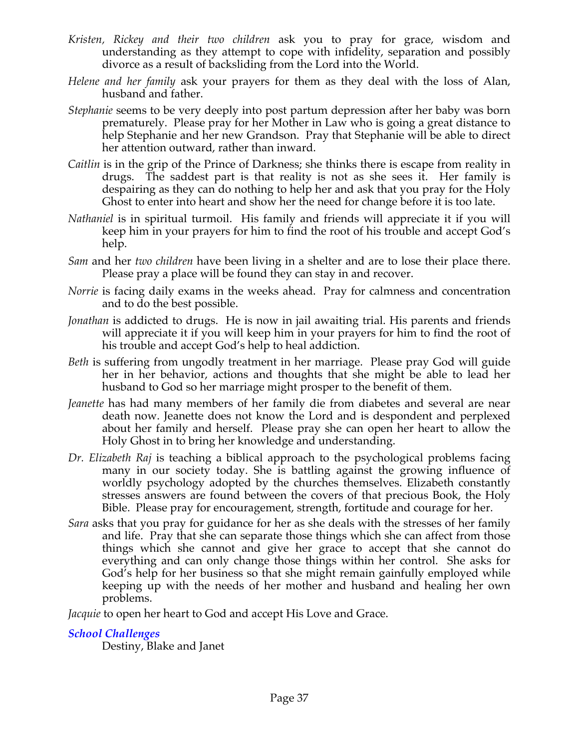- *Kristen, Rickey and their two children* ask you to pray for grace, wisdom and understanding as they attempt to cope with infidelity, separation and possibly divorce as a result of backsliding from the Lord into the World.
- *Helene and her family* ask your prayers for them as they deal with the loss of Alan, husband and father.
- *Stephanie* seems to be very deeply into post partum depression after her baby was born prematurely. Please pray for her Mother in Law who is going a great distance to help Stephanie and her new Grandson. Pray that Stephanie will be able to direct her attention outward, rather than inward.
- *Caitlin* is in the grip of the Prince of Darkness; she thinks there is escape from reality in drugs. The saddest part is that reality is not as she sees it. Her family is despairing as they can do nothing to help her and ask that you pray for the Holy Ghost to enter into heart and show her the need for change before it is too late.
- *Nathaniel* is in spiritual turmoil. His family and friends will appreciate it if you will keep him in your prayers for him to find the root of his trouble and accept God's help.
- *Sam* and her *two children* have been living in a shelter and are to lose their place there. Please pray a place will be found they can stay in and recover.
- *Norrie* is facing daily exams in the weeks ahead. Pray for calmness and concentration and to do the best possible.
- *Jonathan* is addicted to drugs. He is now in jail awaiting trial. His parents and friends will appreciate it if you will keep him in your prayers for him to find the root of his trouble and accept God's help to heal addiction.
- *Beth* is suffering from ungodly treatment in her marriage. Please pray God will guide her in her behavior, actions and thoughts that she might be able to lead her husband to God so her marriage might prosper to the benefit of them.
- *Jeanette* has had many members of her family die from diabetes and several are near death now. Jeanette does not know the Lord and is despondent and perplexed about her family and herself. Please pray she can open her heart to allow the Holy Ghost in to bring her knowledge and understanding.
- *Dr. Elizabeth Raj* is teaching a biblical approach to the psychological problems facing many in our society today. She is battling against the growing influence of worldly psychology adopted by the churches themselves. Elizabeth constantly stresses answers are found between the covers of that precious Book, the Holy Bible. Please pray for encouragement, strength, fortitude and courage for her.
- *Sara* asks that you pray for guidance for her as she deals with the stresses of her family and life. Pray that she can separate those things which she can affect from those things which she cannot and give her grace to accept that she cannot do everything and can only change those things within her control. She asks for God's help for her business so that she might remain gainfully employed while keeping up with the needs of her mother and husband and healing her own problems.

*Jacquie* to open her heart to God and accept His Love and Grace.

## *School Challenges*

Destiny, Blake and Janet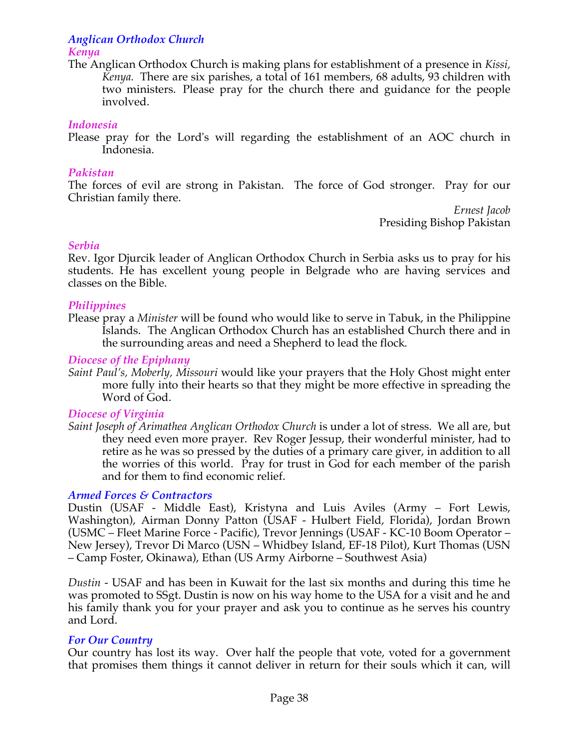# *Anglican Orthodox Church*

# *Kenya*

The Anglican Orthodox Church is making plans for establishment of a presence in *Kissi, Kenya.* There are six parishes, a total of 161 members, 68 adults, 93 children with two ministers. Please pray for the church there and guidance for the people involved.

## *Indonesia*

Please pray for the Lord's will regarding the establishment of an AOC church in Indonesia.

## *Pakistan*

The forces of evil are strong in Pakistan. The force of God stronger. Pray for our Christian family there.

*Ernest Jacob* Presiding Bishop Pakistan

## *Serbia*

Rev. Igor Djurcik leader of Anglican Orthodox Church in Serbia asks us to pray for his students. He has excellent young people in Belgrade who are having services and classes on the Bible.

## *Philippines*

Please pray a *Minister* will be found who would like to serve in Tabuk, in the Philippine Islands. The Anglican Orthodox Church has an established Church there and in the surrounding areas and need a Shepherd to lead the flock*.*

## *Diocese of the Epiphany*

*Saint Paul's, Moberly, Missouri* would like your prayers that the Holy Ghost might enter more fully into their hearts so that they might be more effective in spreading the Word of God.

# *Diocese of Virginia*

*Saint Joseph of Arimathea Anglican Orthodox Church* is under a lot of stress. We all are, but they need even more prayer. Rev Roger Jessup, their wonderful minister, had to retire as he was so pressed by the duties of a primary care giver, in addition to all the worries of this world. Pray for trust in God for each member of the parish and for them to find economic relief.

# *Armed Forces & Contractors*

Dustin (USAF - Middle East), Kristyna and Luis Aviles (Army – Fort Lewis, Washington), Airman Donny Patton (USAF - Hulbert Field, Florida), Jordan Brown (USMC – Fleet Marine Force - Pacific), Trevor Jennings (USAF - KC-10 Boom Operator – New Jersey), Trevor Di Marco (USN – Whidbey Island, EF-18 Pilot), Kurt Thomas (USN – Camp Foster, Okinawa), Ethan (US Army Airborne – Southwest Asia)

*Dustin* - USAF and has been in Kuwait for the last six months and during this time he was promoted to SSgt. Dustin is now on his way home to the USA for a visit and he and his family thank you for your prayer and ask you to continue as he serves his country and Lord.

# *For Our Country*

Our country has lost its way. Over half the people that vote, voted for a government that promises them things it cannot deliver in return for their souls which it can, will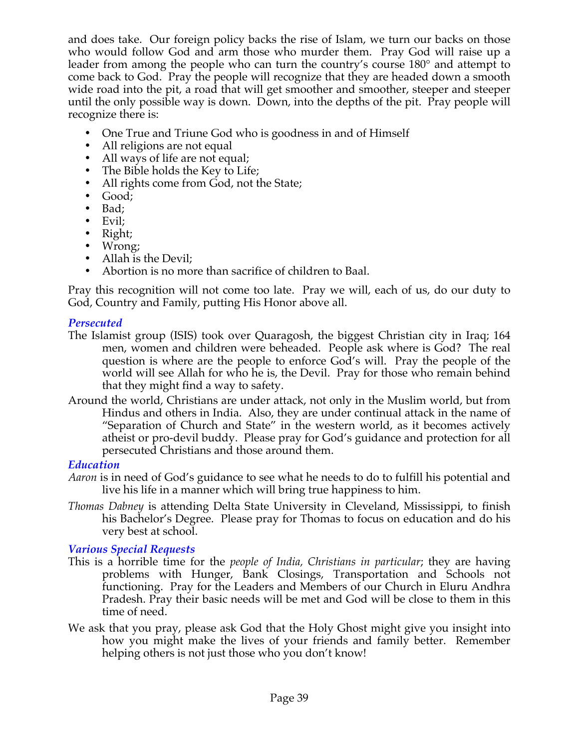and does take. Our foreign policy backs the rise of Islam, we turn our backs on those who would follow God and arm those who murder them. Pray God will raise up a leader from among the people who can turn the country's course 180° and attempt to come back to God. Pray the people will recognize that they are headed down a smooth wide road into the pit, a road that will get smoother and smoother, steeper and steeper until the only possible way is down. Down, into the depths of the pit. Pray people will recognize there is:

- One True and Triune God who is goodness in and of Himself
- All religions are not equal
- All ways of life are not equal;
- The Bible holds the Key to Life;
- All rights come from God, not the State;
- Good;
- Bad;
- Evil;
- Right;
- Wrong;
- Allah is the Devil;
- Abortion is no more than sacrifice of children to Baal.

Pray this recognition will not come too late. Pray we will, each of us, do our duty to God, Country and Family, putting His Honor above all.

## *Persecuted*

- The Islamist group (ISIS) took over Quaragosh, the biggest Christian city in Iraq; 164 men, women and children were beheaded. People ask where is God? The real question is where are the people to enforce God's will. Pray the people of the world will see Allah for who he is, the Devil. Pray for those who remain behind that they might find a way to safety.
- Around the world, Christians are under attack, not only in the Muslim world, but from Hindus and others in India. Also, they are under continual attack in the name of "Separation of Church and State" in the western world, as it becomes actively atheist or pro-devil buddy. Please pray for God's guidance and protection for all persecuted Christians and those around them.

## *Education*

- *Aaron* is in need of God's guidance to see what he needs to do to fulfill his potential and live his life in a manner which will bring true happiness to him.
- *Thomas Dabney* is attending Delta State University in Cleveland, Mississippi, to finish his Bachelor's Degree. Please pray for Thomas to focus on education and do his very best at school.

## *Various Special Requests*

- This is a horrible time for the *people of India, Christians in particular*; they are having problems with Hunger, Bank Closings, Transportation and Schools not functioning. Pray for the Leaders and Members of our Church in Eluru Andhra Pradesh. Pray their basic needs will be met and God will be close to them in this time of need.
- We ask that you pray, please ask God that the Holy Ghost might give you insight into how you might make the lives of your friends and family better. Remember helping others is not just those who you don't know!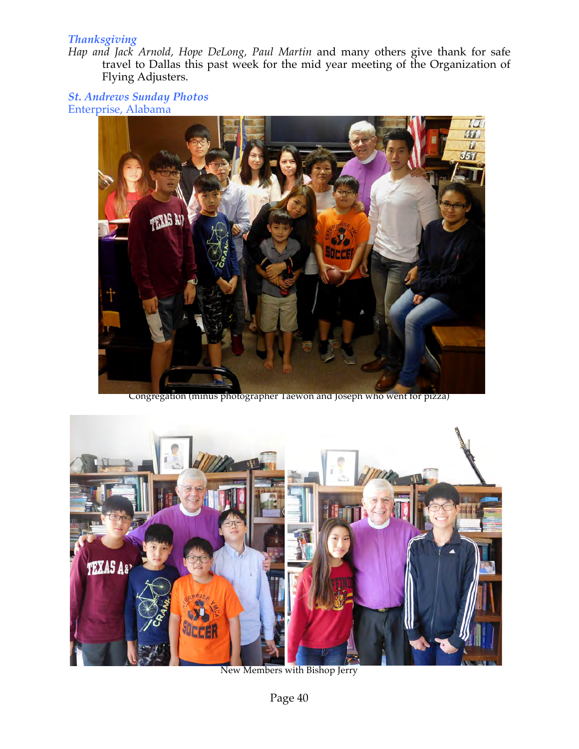## *Thanksgiving*

*Hap and Jack Arnold, Hope DeLong, Paul Martin* and many others give thank for safe travel to Dallas this past week for the mid year meeting of the Organization of Flying Adjusters.

*St. Andrews Sunday Photos* Enterprise, Alabama



Congregation (minus photographer Taewon and Joseph who went for pizza)



New Members with Bishop Jerry

Page 40